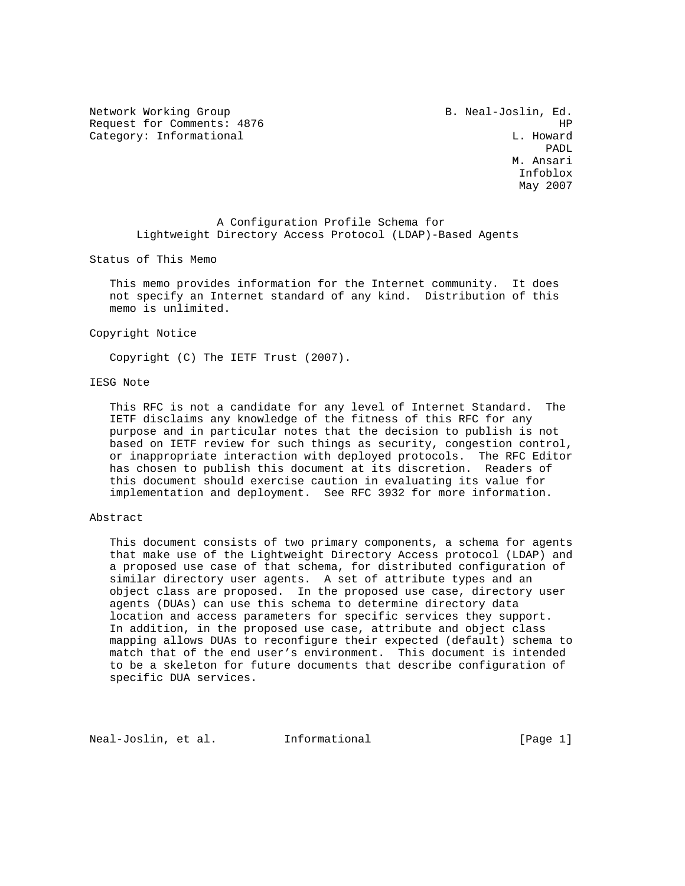Network Working Group **B. Neal-Joslin, Ed.** Request for Comments: 4876 HP Category: Informational and L. Howard

 PADL M. Ansari Infoblox May 2007

 A Configuration Profile Schema for Lightweight Directory Access Protocol (LDAP)-Based Agents

Status of This Memo

 This memo provides information for the Internet community. It does not specify an Internet standard of any kind. Distribution of this memo is unlimited.

Copyright Notice

Copyright (C) The IETF Trust (2007).

# IESG Note

 This RFC is not a candidate for any level of Internet Standard. The IETF disclaims any knowledge of the fitness of this RFC for any purpose and in particular notes that the decision to publish is not based on IETF review for such things as security, congestion control, or inappropriate interaction with deployed protocols. The RFC Editor has chosen to publish this document at its discretion. Readers of this document should exercise caution in evaluating its value for implementation and deployment. See RFC 3932 for more information.

### Abstract

 This document consists of two primary components, a schema for agents that make use of the Lightweight Directory Access protocol (LDAP) and a proposed use case of that schema, for distributed configuration of similar directory user agents. A set of attribute types and an object class are proposed. In the proposed use case, directory user agents (DUAs) can use this schema to determine directory data location and access parameters for specific services they support. In addition, in the proposed use case, attribute and object class mapping allows DUAs to reconfigure their expected (default) schema to match that of the end user's environment. This document is intended to be a skeleton for future documents that describe configuration of specific DUA services.

Neal-Joslin, et al. Informational [Page 1]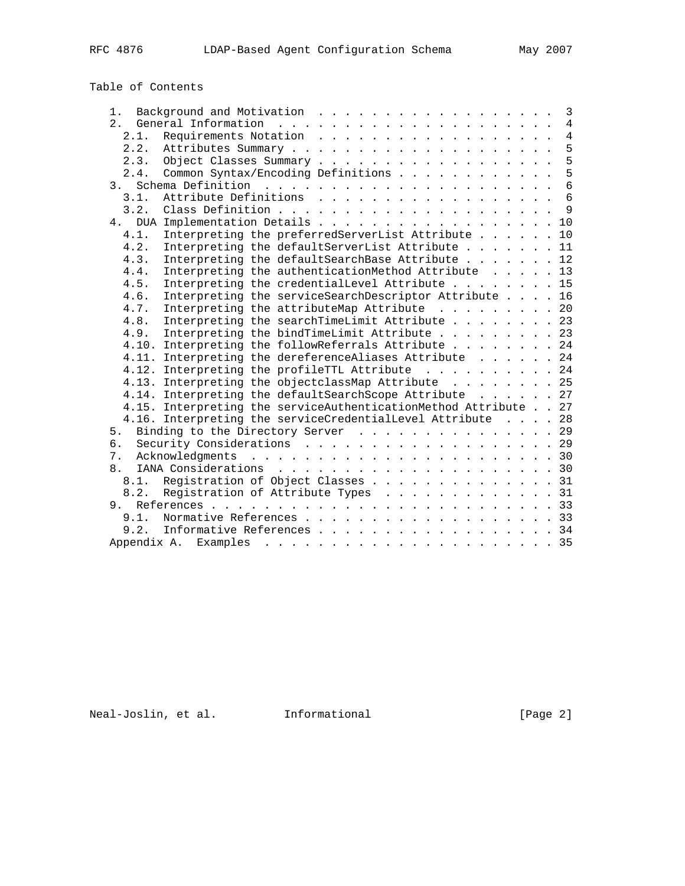# Table of Contents

| 1.             |                                                                 |  | 3               |
|----------------|-----------------------------------------------------------------|--|-----------------|
|                |                                                                 |  | $\overline{4}$  |
| 2.1.           |                                                                 |  | $\overline{4}$  |
| 2.2.           |                                                                 |  | 5               |
| 2.3.           |                                                                 |  | 5               |
| 2.4.           | Common Syntax/Encoding Definitions                              |  | 5               |
| 3 <sub>1</sub> |                                                                 |  | $6\overline{6}$ |
| 3.1.           |                                                                 |  | $6\overline{6}$ |
| 3.2.           |                                                                 |  | $\overline{9}$  |
| 4.             | DUA Implementation Details 10                                   |  |                 |
| 4.1.           | Interpreting the preferredServerList Attribute 10               |  |                 |
| 4.2.           | Interpreting the defaultServerList Attribute 11                 |  |                 |
| 4.3.           | Interpreting the defaultSearchBase Attribute 12                 |  |                 |
| 4.4.           | Interpreting the authenticationMethod Attribute 13              |  |                 |
| 4.5.           | Interpreting the credentialLevel Attribute 15                   |  |                 |
| 4.6.           | Interpreting the serviceSearchDescriptor Attribute 16           |  |                 |
| 4.7.           | Interpreting the attributeMap Attribute 20                      |  |                 |
| 4.8.           | Interpreting the searchTimeLimit Attribute 23                   |  |                 |
| 4.9.           | Interpreting the bindTimeLimit Attribute 23                     |  |                 |
|                | 4.10. Interpreting the followReferrals Attribute 24             |  |                 |
|                | 4.11. Interpreting the dereferenceAliases Attribute 24          |  |                 |
|                | 4.12. Interpreting the profileTTL Attribute 24                  |  |                 |
|                | 4.13. Interpreting the objectclassMap Attribute 25              |  |                 |
|                | 4.14. Interpreting the defaultSearchScope Attribute 27          |  |                 |
|                | 4.15. Interpreting the serviceAuthenticationMethod Attribute 27 |  |                 |
|                | 4.16. Interpreting the serviceCredentialLevel Attribute 28      |  |                 |
| 5.             | Binding to the Directory Server 29                              |  |                 |
| б.             | Security Considerations 29                                      |  |                 |
| 7.             |                                                                 |  |                 |
| 8.             |                                                                 |  |                 |
|                | 8.1. Registration of Object Classes 31                          |  |                 |
| 8.2.           | Registration of Attribute Types 31                              |  |                 |
| 9.             |                                                                 |  |                 |
| 9.1.           | Normative References 33                                         |  |                 |
|                | 9.2. Informative References 34                                  |  |                 |
|                |                                                                 |  |                 |
|                |                                                                 |  |                 |

Neal-Joslin, et al. 1nformational 1999 [Page 2]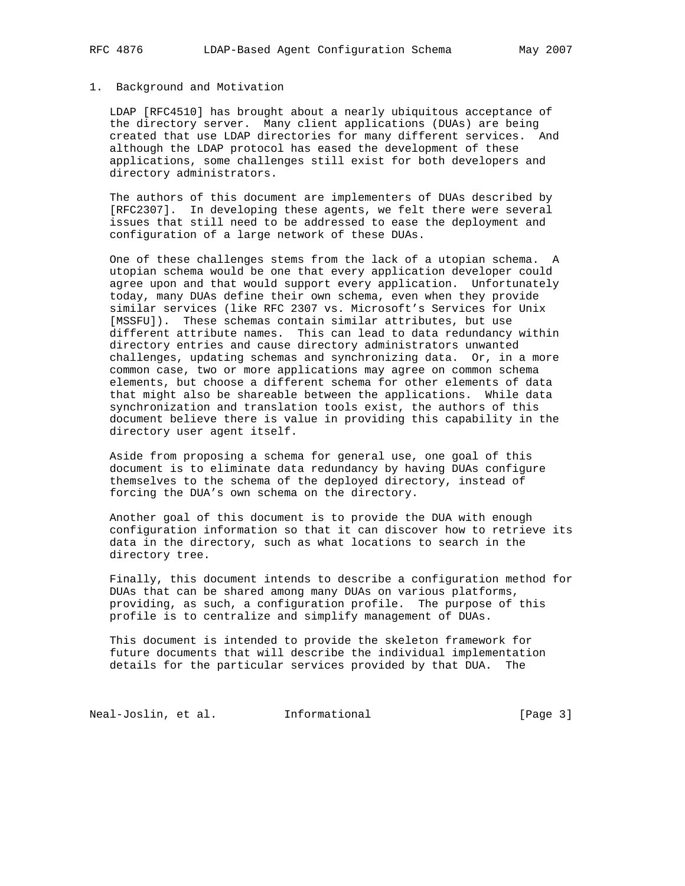# 1. Background and Motivation

 LDAP [RFC4510] has brought about a nearly ubiquitous acceptance of the directory server. Many client applications (DUAs) are being created that use LDAP directories for many different services. And although the LDAP protocol has eased the development of these applications, some challenges still exist for both developers and directory administrators.

 The authors of this document are implementers of DUAs described by [RFC2307]. In developing these agents, we felt there were several issues that still need to be addressed to ease the deployment and configuration of a large network of these DUAs.

 One of these challenges stems from the lack of a utopian schema. A utopian schema would be one that every application developer could agree upon and that would support every application. Unfortunately today, many DUAs define their own schema, even when they provide similar services (like RFC 2307 vs. Microsoft's Services for Unix [MSSFU]). These schemas contain similar attributes, but use different attribute names. This can lead to data redundancy within directory entries and cause directory administrators unwanted challenges, updating schemas and synchronizing data. Or, in a more common case, two or more applications may agree on common schema elements, but choose a different schema for other elements of data that might also be shareable between the applications. While data synchronization and translation tools exist, the authors of this document believe there is value in providing this capability in the directory user agent itself.

 Aside from proposing a schema for general use, one goal of this document is to eliminate data redundancy by having DUAs configure themselves to the schema of the deployed directory, instead of forcing the DUA's own schema on the directory.

 Another goal of this document is to provide the DUA with enough configuration information so that it can discover how to retrieve its data in the directory, such as what locations to search in the directory tree.

 Finally, this document intends to describe a configuration method for DUAs that can be shared among many DUAs on various platforms, providing, as such, a configuration profile. The purpose of this profile is to centralize and simplify management of DUAs.

 This document is intended to provide the skeleton framework for future documents that will describe the individual implementation details for the particular services provided by that DUA. The

Neal-Joslin, et al. 1nformational 1999 [Page 3]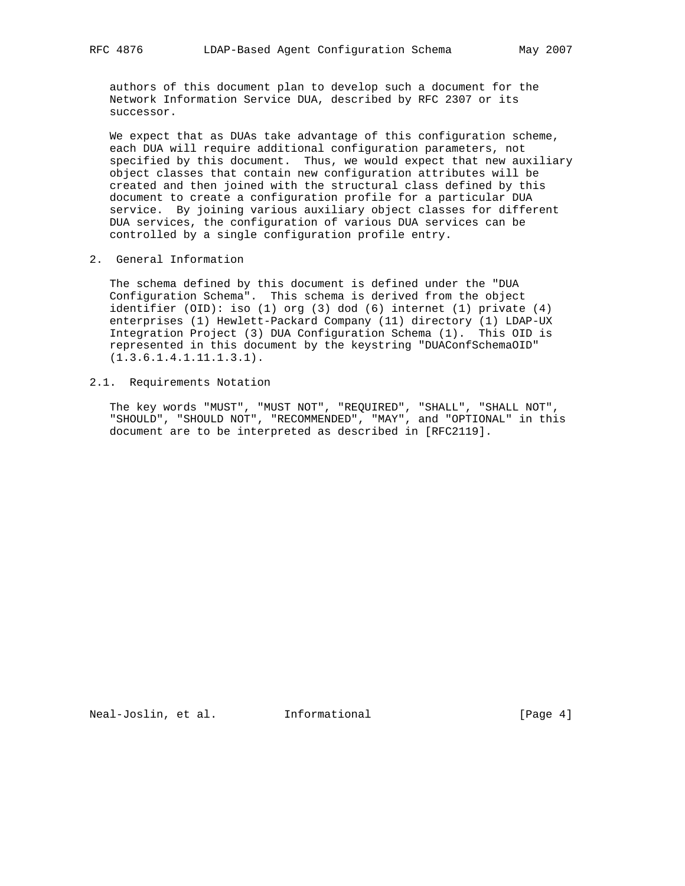authors of this document plan to develop such a document for the Network Information Service DUA, described by RFC 2307 or its successor.

 We expect that as DUAs take advantage of this configuration scheme, each DUA will require additional configuration parameters, not specified by this document. Thus, we would expect that new auxiliary object classes that contain new configuration attributes will be created and then joined with the structural class defined by this document to create a configuration profile for a particular DUA service. By joining various auxiliary object classes for different DUA services, the configuration of various DUA services can be controlled by a single configuration profile entry.

2. General Information

 The schema defined by this document is defined under the "DUA Configuration Schema". This schema is derived from the object identifier (OID): iso (1) org (3) dod (6) internet (1) private (4) enterprises (1) Hewlett-Packard Company (11) directory (1) LDAP-UX Integration Project (3) DUA Configuration Schema (1). This OID is represented in this document by the keystring "DUAConfSchemaOID" (1.3.6.1.4.1.11.1.3.1).

2.1. Requirements Notation

 The key words "MUST", "MUST NOT", "REQUIRED", "SHALL", "SHALL NOT", "SHOULD", "SHOULD NOT", "RECOMMENDED", "MAY", and "OPTIONAL" in this document are to be interpreted as described in [RFC2119].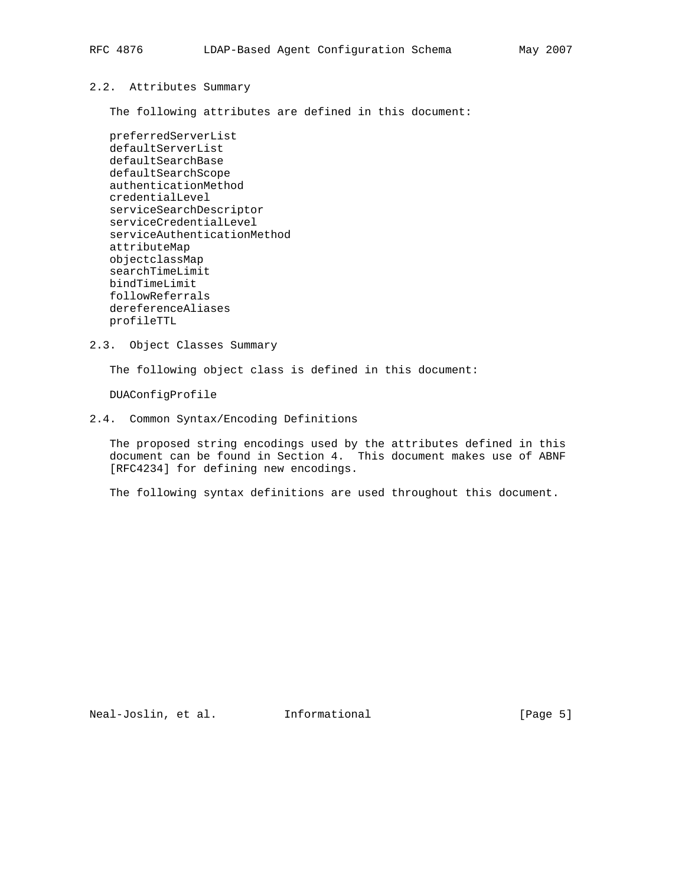### 2.2. Attributes Summary

The following attributes are defined in this document:

 preferredServerList defaultServerList defaultSearchBase defaultSearchScope authenticationMethod credentialLevel serviceSearchDescriptor serviceCredentialLevel serviceAuthenticationMethod attributeMap objectclassMap searchTimeLimit bindTimeLimit followReferrals dereferenceAliases profileTTL

2.3. Object Classes Summary

The following object class is defined in this document:

DUAConfigProfile

# 2.4. Common Syntax/Encoding Definitions

 The proposed string encodings used by the attributes defined in this document can be found in Section 4. This document makes use of ABNF [RFC4234] for defining new encodings.

The following syntax definitions are used throughout this document.

Neal-Joslin, et al. Informational [Page 5]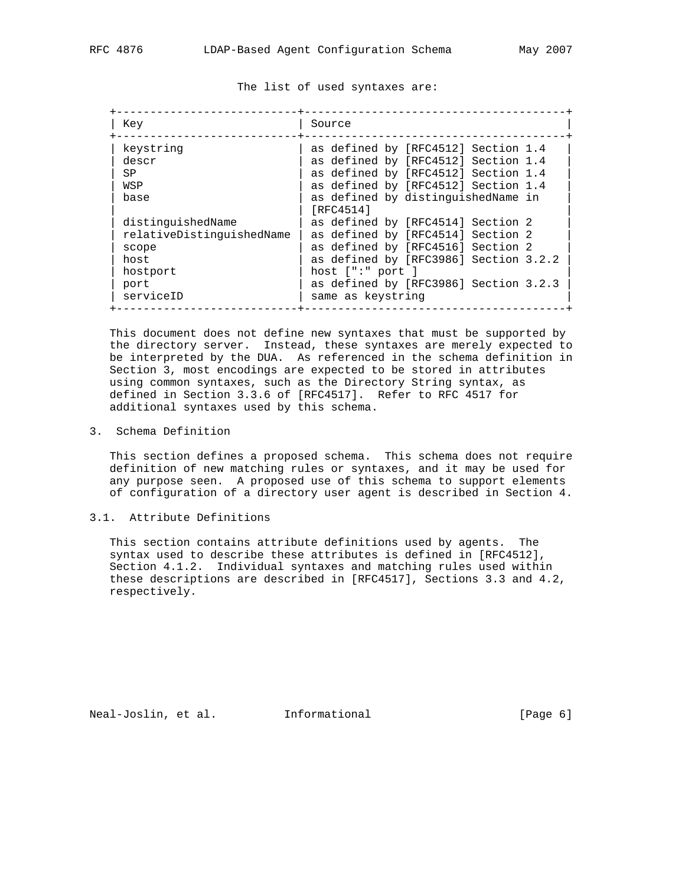The list of used syntaxes are:

| Key                       | Source                                          |
|---------------------------|-------------------------------------------------|
| keystring                 | as defined by [RFC4512] Section 1.4             |
| descr                     | as defined by [RFC4512] Section 1.4             |
| SP                        | as defined by [RFC4512] Section 1.4             |
| WSP                       | as defined by [RFC4512] Section 1.4             |
| base                      | as defined by distinguishedName in<br>[RFC4514] |
| distinguishedName         | as defined by [RFC4514] Section 2               |
| relativeDistinquishedName | as defined by [RFC4514] Section 2               |
| scope                     | as defined by [RFC4516] Section 2               |
| host                      | as defined by [RFC3986] Section 3.2.2           |
| hostport                  | host $[$ ":" port $]$                           |
| port                      | as defined by [RFC3986] Section 3.2.3           |
| serviceID                 | same as keystring                               |

 This document does not define new syntaxes that must be supported by the directory server. Instead, these syntaxes are merely expected to be interpreted by the DUA. As referenced in the schema definition in Section 3, most encodings are expected to be stored in attributes using common syntaxes, such as the Directory String syntax, as defined in Section 3.3.6 of [RFC4517]. Refer to RFC 4517 for additional syntaxes used by this schema.

3. Schema Definition

 This section defines a proposed schema. This schema does not require definition of new matching rules or syntaxes, and it may be used for any purpose seen. A proposed use of this schema to support elements of configuration of a directory user agent is described in Section 4.

# 3.1. Attribute Definitions

 This section contains attribute definitions used by agents. The syntax used to describe these attributes is defined in [RFC4512], Section 4.1.2. Individual syntaxes and matching rules used within these descriptions are described in [RFC4517], Sections 3.3 and 4.2, respectively.

Neal-Joslin, et al. Informational [Page 6]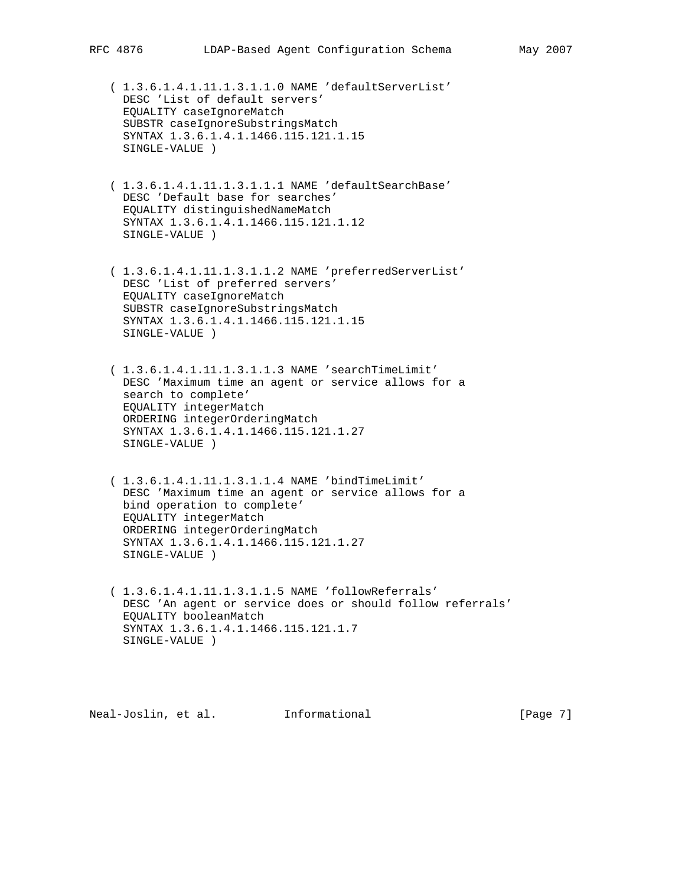( 1.3.6.1.4.1.11.1.3.1.1.0 NAME 'defaultServerList' DESC 'List of default servers' EQUALITY caseIgnoreMatch SUBSTR caseIgnoreSubstringsMatch SYNTAX 1.3.6.1.4.1.1466.115.121.1.15 SINGLE-VALUE )

- ( 1.3.6.1.4.1.11.1.3.1.1.1 NAME 'defaultSearchBase' DESC 'Default base for searches' EQUALITY distinguishedNameMatch SYNTAX 1.3.6.1.4.1.1466.115.121.1.12 SINGLE-VALUE )
- ( 1.3.6.1.4.1.11.1.3.1.1.2 NAME 'preferredServerList' DESC 'List of preferred servers' EQUALITY caseIgnoreMatch SUBSTR caseIgnoreSubstringsMatch SYNTAX 1.3.6.1.4.1.1466.115.121.1.15 SINGLE-VALUE )
- ( 1.3.6.1.4.1.11.1.3.1.1.3 NAME 'searchTimeLimit' DESC 'Maximum time an agent or service allows for a search to complete' EQUALITY integerMatch ORDERING integerOrderingMatch SYNTAX 1.3.6.1.4.1.1466.115.121.1.27 SINGLE-VALUE )
- ( 1.3.6.1.4.1.11.1.3.1.1.4 NAME 'bindTimeLimit' DESC 'Maximum time an agent or service allows for a bind operation to complete' EQUALITY integerMatch ORDERING integerOrderingMatch SYNTAX 1.3.6.1.4.1.1466.115.121.1.27 SINGLE-VALUE )
- ( 1.3.6.1.4.1.11.1.3.1.1.5 NAME 'followReferrals' DESC 'An agent or service does or should follow referrals' EQUALITY booleanMatch SYNTAX 1.3.6.1.4.1.1466.115.121.1.7 SINGLE-VALUE )

Neal-Joslin, et al. Informational [Page 7]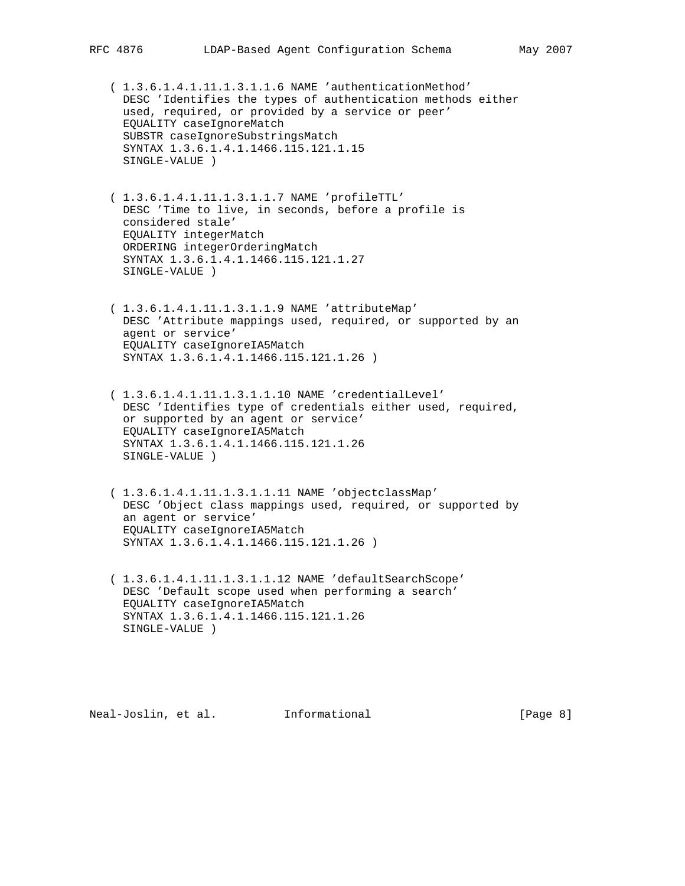( 1.3.6.1.4.1.11.1.3.1.1.6 NAME 'authenticationMethod' DESC 'Identifies the types of authentication methods either used, required, or provided by a service or peer' EQUALITY caseIgnoreMatch SUBSTR caseIgnoreSubstringsMatch SYNTAX 1.3.6.1.4.1.1466.115.121.1.15 SINGLE-VALUE )

 ( 1.3.6.1.4.1.11.1.3.1.1.7 NAME 'profileTTL' DESC 'Time to live, in seconds, before a profile is considered stale' EQUALITY integerMatch ORDERING integerOrderingMatch SYNTAX 1.3.6.1.4.1.1466.115.121.1.27 SINGLE-VALUE )

 ( 1.3.6.1.4.1.11.1.3.1.1.9 NAME 'attributeMap' DESC 'Attribute mappings used, required, or supported by an agent or service' EQUALITY caseIgnoreIA5Match SYNTAX 1.3.6.1.4.1.1466.115.121.1.26 )

 ( 1.3.6.1.4.1.11.1.3.1.1.10 NAME 'credentialLevel' DESC 'Identifies type of credentials either used, required, or supported by an agent or service' EQUALITY caseIgnoreIA5Match SYNTAX 1.3.6.1.4.1.1466.115.121.1.26 SINGLE-VALUE )

 ( 1.3.6.1.4.1.11.1.3.1.1.11 NAME 'objectclassMap' DESC 'Object class mappings used, required, or supported by an agent or service' EQUALITY caseIgnoreIA5Match SYNTAX 1.3.6.1.4.1.1466.115.121.1.26 )

 ( 1.3.6.1.4.1.11.1.3.1.1.12 NAME 'defaultSearchScope' DESC 'Default scope used when performing a search' EQUALITY caseIgnoreIA5Match SYNTAX 1.3.6.1.4.1.1466.115.121.1.26 SINGLE-VALUE )

Neal-Joslin, et al. Informational [Page 8]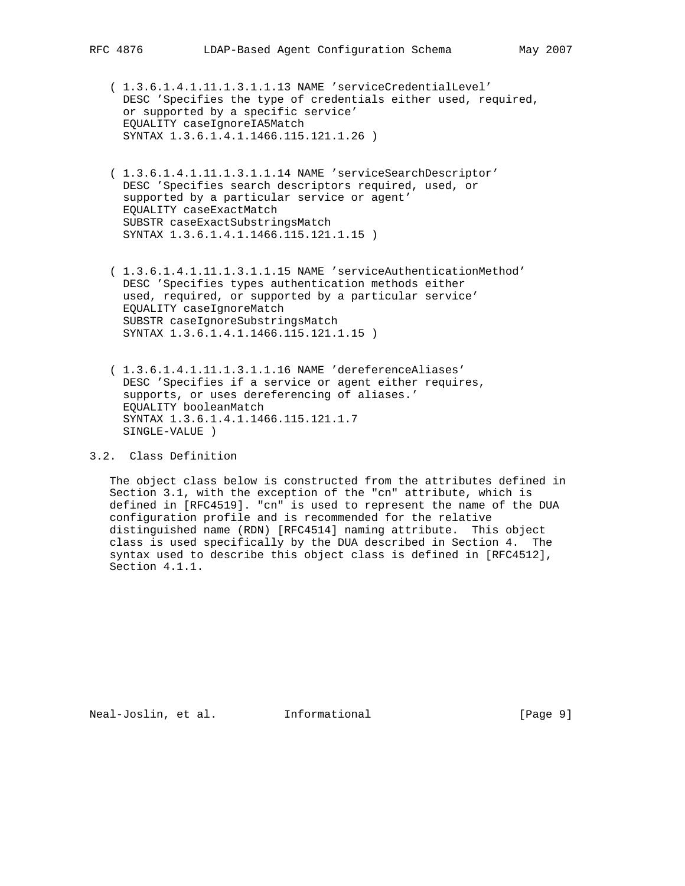( 1.3.6.1.4.1.11.1.3.1.1.13 NAME 'serviceCredentialLevel' DESC 'Specifies the type of credentials either used, required, or supported by a specific service' EQUALITY caseIgnoreIA5Match SYNTAX 1.3.6.1.4.1.1466.115.121.1.26 )

 ( 1.3.6.1.4.1.11.1.3.1.1.14 NAME 'serviceSearchDescriptor' DESC 'Specifies search descriptors required, used, or supported by a particular service or agent' EQUALITY caseExactMatch SUBSTR caseExactSubstringsMatch SYNTAX 1.3.6.1.4.1.1466.115.121.1.15 )

 ( 1.3.6.1.4.1.11.1.3.1.1.15 NAME 'serviceAuthenticationMethod' DESC 'Specifies types authentication methods either used, required, or supported by a particular service' EQUALITY caseIgnoreMatch SUBSTR caseIgnoreSubstringsMatch SYNTAX 1.3.6.1.4.1.1466.115.121.1.15 )

 ( 1.3.6.1.4.1.11.1.3.1.1.16 NAME 'dereferenceAliases' DESC 'Specifies if a service or agent either requires, supports, or uses dereferencing of aliases.' EQUALITY booleanMatch SYNTAX 1.3.6.1.4.1.1466.115.121.1.7 SINGLE-VALUE )

# 3.2. Class Definition

 The object class below is constructed from the attributes defined in Section 3.1, with the exception of the "cn" attribute, which is defined in [RFC4519]. "cn" is used to represent the name of the DUA configuration profile and is recommended for the relative distinguished name (RDN) [RFC4514] naming attribute. This object class is used specifically by the DUA described in Section 4. The syntax used to describe this object class is defined in [RFC4512], Section 4.1.1.

Neal-Joslin, et al. Informational [Page 9]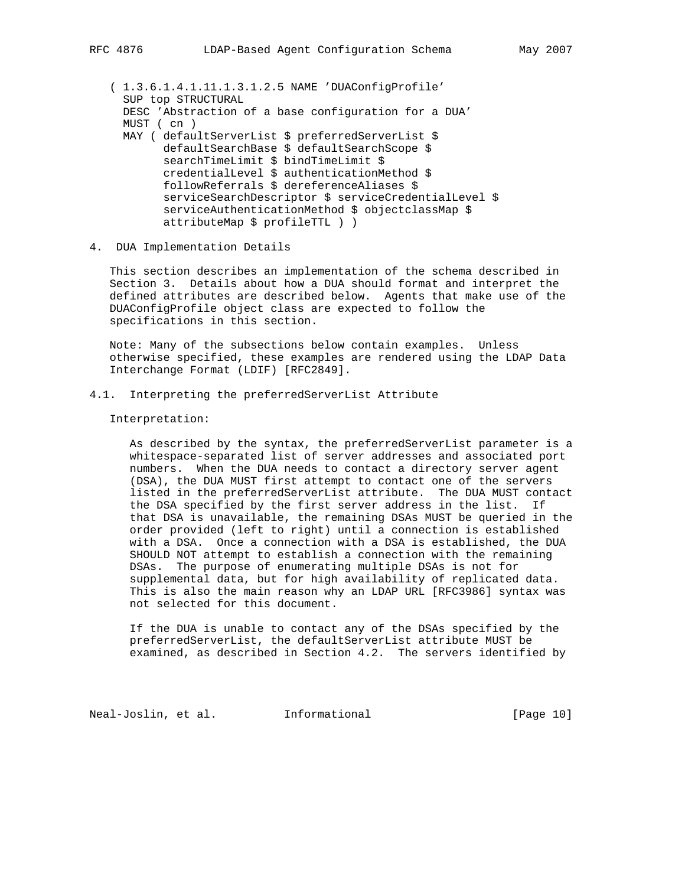( 1.3.6.1.4.1.11.1.3.1.2.5 NAME 'DUAConfigProfile' SUP top STRUCTURAL DESC 'Abstraction of a base configuration for a DUA' MUST ( cn ) MAY ( defaultServerList \$ preferredServerList \$ defaultSearchBase \$ defaultSearchScope \$ searchTimeLimit \$ bindTimeLimit \$ credentialLevel \$ authenticationMethod \$ followReferrals \$ dereferenceAliases \$ serviceSearchDescriptor \$ serviceCredentialLevel \$ serviceAuthenticationMethod \$ objectclassMap \$ attributeMap \$ profileTTL ) )

# 4. DUA Implementation Details

 This section describes an implementation of the schema described in Section 3. Details about how a DUA should format and interpret the defined attributes are described below. Agents that make use of the DUAConfigProfile object class are expected to follow the specifications in this section.

 Note: Many of the subsections below contain examples. Unless otherwise specified, these examples are rendered using the LDAP Data Interchange Format (LDIF) [RFC2849].

# 4.1. Interpreting the preferredServerList Attribute

#### Interpretation:

 As described by the syntax, the preferredServerList parameter is a whitespace-separated list of server addresses and associated port numbers. When the DUA needs to contact a directory server agent (DSA), the DUA MUST first attempt to contact one of the servers listed in the preferredServerList attribute. The DUA MUST contact the DSA specified by the first server address in the list. If that DSA is unavailable, the remaining DSAs MUST be queried in the order provided (left to right) until a connection is established with a DSA. Once a connection with a DSA is established, the DUA SHOULD NOT attempt to establish a connection with the remaining DSAs. The purpose of enumerating multiple DSAs is not for supplemental data, but for high availability of replicated data. This is also the main reason why an LDAP URL [RFC3986] syntax was not selected for this document.

 If the DUA is unable to contact any of the DSAs specified by the preferredServerList, the defaultServerList attribute MUST be examined, as described in Section 4.2. The servers identified by

Neal-Joslin, et al. Informational [Page 10]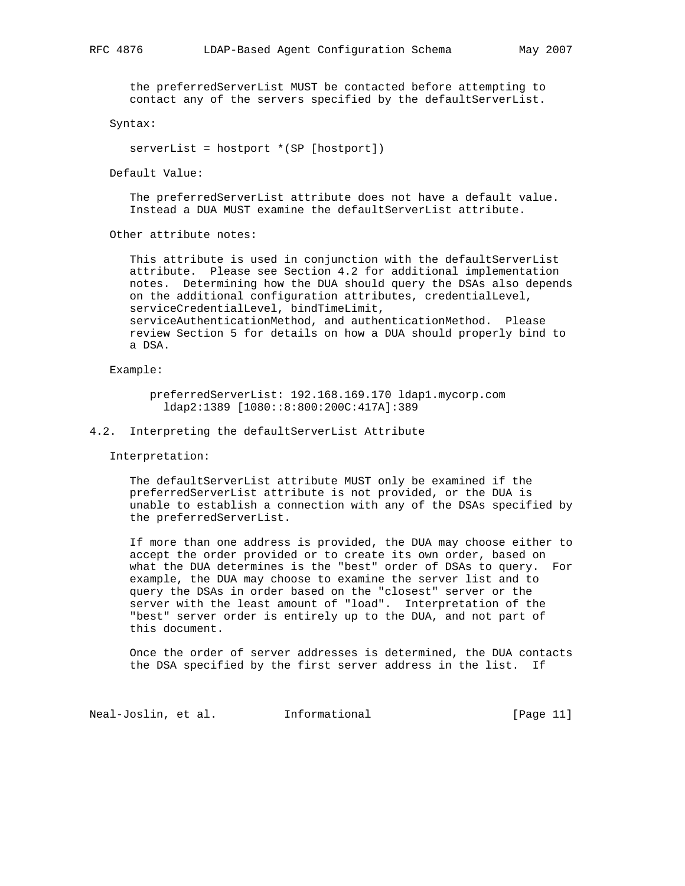the preferredServerList MUST be contacted before attempting to contact any of the servers specified by the defaultServerList.

Syntax:

serverList = hostport \*(SP [hostport])

Default Value:

 The preferredServerList attribute does not have a default value. Instead a DUA MUST examine the defaultServerList attribute.

Other attribute notes:

This attribute is used in conjunction with the defaultServerList attribute. Please see Section 4.2 for additional implementation notes. Determining how the DUA should query the DSAs also depends on the additional configuration attributes, credentialLevel, serviceCredentialLevel, bindTimeLimit, serviceAuthenticationMethod, and authenticationMethod. Please review Section 5 for details on how a DUA should properly bind to a DSA.

Example:

 preferredServerList: 192.168.169.170 ldap1.mycorp.com ldap2:1389 [1080::8:800:200C:417A]:389

# 4.2. Interpreting the defaultServerList Attribute

Interpretation:

 The defaultServerList attribute MUST only be examined if the preferredServerList attribute is not provided, or the DUA is unable to establish a connection with any of the DSAs specified by the preferredServerList.

 If more than one address is provided, the DUA may choose either to accept the order provided or to create its own order, based on what the DUA determines is the "best" order of DSAs to query. For example, the DUA may choose to examine the server list and to query the DSAs in order based on the "closest" server or the server with the least amount of "load". Interpretation of the "best" server order is entirely up to the DUA, and not part of this document.

 Once the order of server addresses is determined, the DUA contacts the DSA specified by the first server address in the list. If

Neal-Joslin, et al. Informational [Page 11]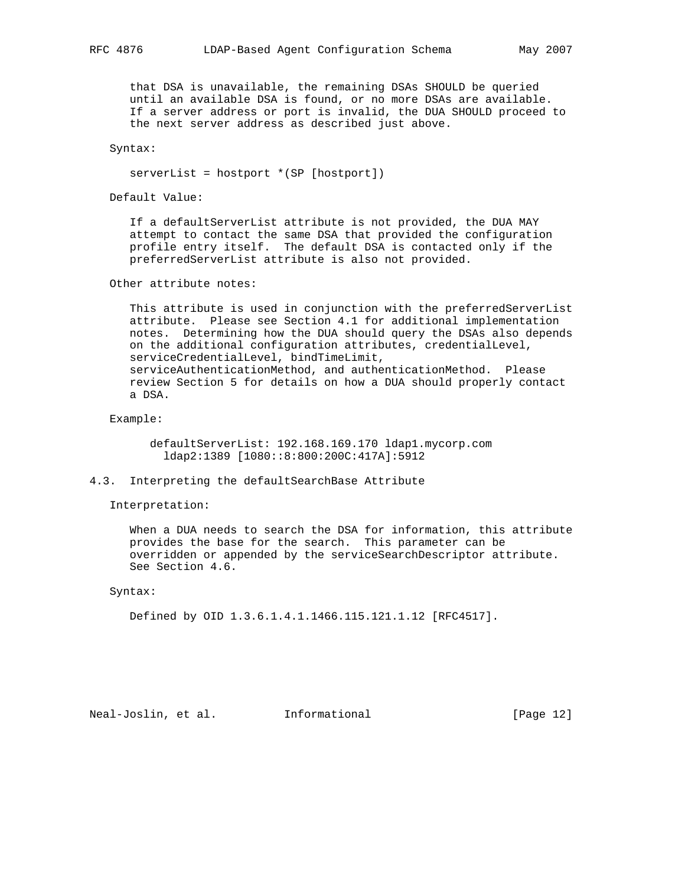that DSA is unavailable, the remaining DSAs SHOULD be queried until an available DSA is found, or no more DSAs are available. If a server address or port is invalid, the DUA SHOULD proceed to the next server address as described just above.

Syntax:

serverList = hostport \*(SP [hostport])

Default Value:

 If a defaultServerList attribute is not provided, the DUA MAY attempt to contact the same DSA that provided the configuration profile entry itself. The default DSA is contacted only if the preferredServerList attribute is also not provided.

Other attribute notes:

 This attribute is used in conjunction with the preferredServerList attribute. Please see Section 4.1 for additional implementation notes. Determining how the DUA should query the DSAs also depends on the additional configuration attributes, credentialLevel, serviceCredentialLevel, bindTimeLimit, serviceAuthenticationMethod, and authenticationMethod. Please review Section 5 for details on how a DUA should properly contact a DSA.

Example:

 defaultServerList: 192.168.169.170 ldap1.mycorp.com ldap2:1389 [1080::8:800:200C:417A]:5912

4.3. Interpreting the defaultSearchBase Attribute

Interpretation:

 When a DUA needs to search the DSA for information, this attribute provides the base for the search. This parameter can be overridden or appended by the serviceSearchDescriptor attribute. See Section 4.6.

Syntax:

Defined by OID 1.3.6.1.4.1.1466.115.121.1.12 [RFC4517].

Neal-Joslin, et al. Informational [Page 12]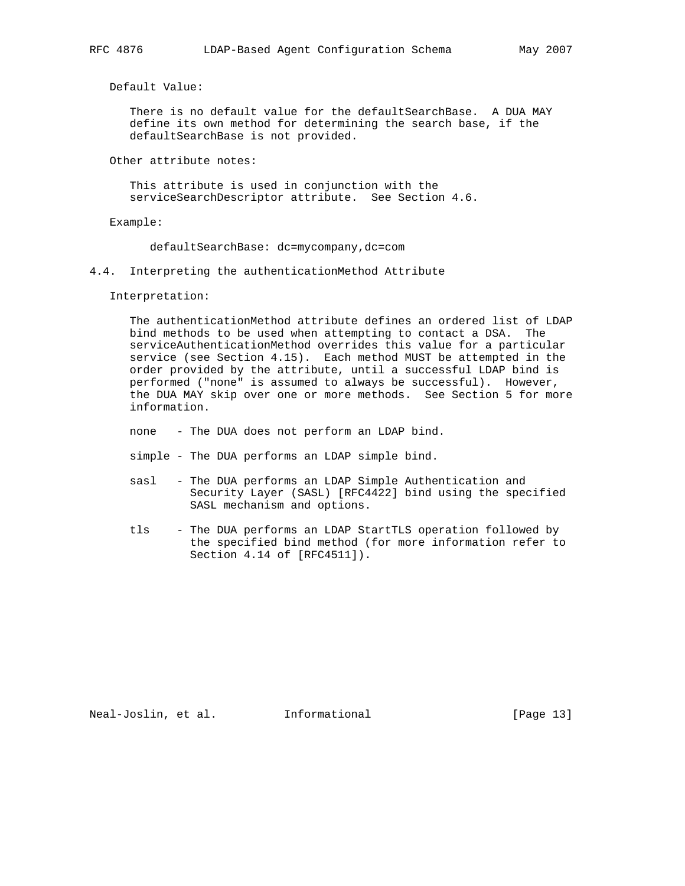Default Value:

 There is no default value for the defaultSearchBase. A DUA MAY define its own method for determining the search base, if the defaultSearchBase is not provided.

Other attribute notes:

 This attribute is used in conjunction with the serviceSearchDescriptor attribute. See Section 4.6.

Example:

defaultSearchBase: dc=mycompany,dc=com

4.4. Interpreting the authenticationMethod Attribute

Interpretation:

 The authenticationMethod attribute defines an ordered list of LDAP bind methods to be used when attempting to contact a DSA. The serviceAuthenticationMethod overrides this value for a particular service (see Section 4.15). Each method MUST be attempted in the order provided by the attribute, until a successful LDAP bind is performed ("none" is assumed to always be successful). However, the DUA MAY skip over one or more methods. See Section 5 for more information.

none - The DUA does not perform an LDAP bind.

- simple The DUA performs an LDAP simple bind.
- sasl The DUA performs an LDAP Simple Authentication and Security Layer (SASL) [RFC4422] bind using the specified SASL mechanism and options.
- tls The DUA performs an LDAP StartTLS operation followed by the specified bind method (for more information refer to Section 4.14 of [RFC4511]).

Neal-Joslin, et al. Informational [Page 13]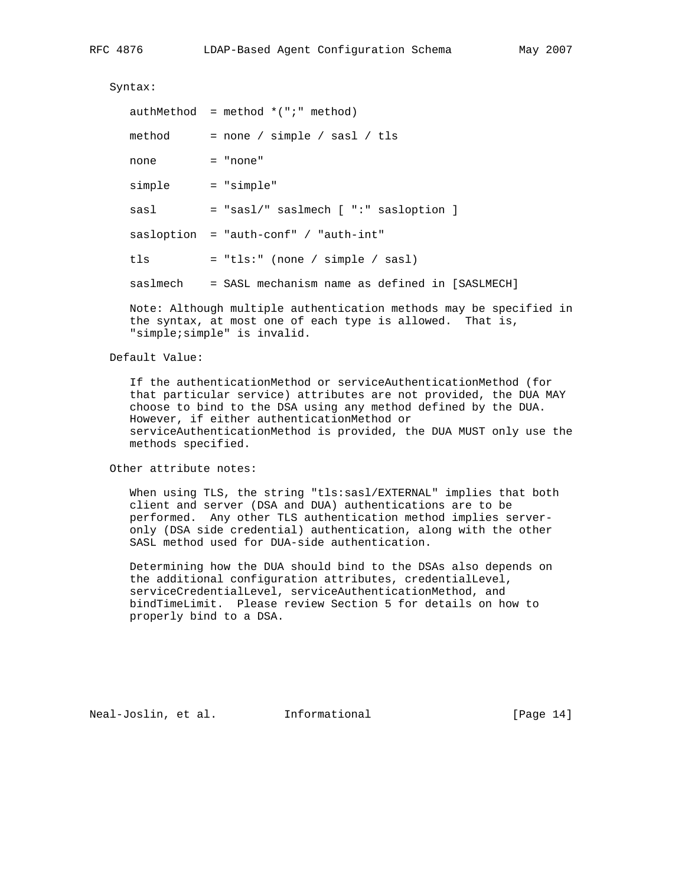Syntax:

|        | $authMethod = method * (";" method)$                    |
|--------|---------------------------------------------------------|
| method | $=$ none / simple / sasl / tls                          |
| none   | $=$ "none"                                              |
| simple | = "simple"                                              |
| sasl   | $=$ "sasl/" saslmech [ ":" sasloption ]                 |
|        | $sasloption = "auth-conf" / "auth-int"$                 |
| tls    | $=$ "tls:" (none / simple / sasl)                       |
|        | saslmech = SASL mechanism name as defined in [SASLMECH] |
|        |                                                         |

 Note: Although multiple authentication methods may be specified in the syntax, at most one of each type is allowed. That is, "simple;simple" is invalid.

# Default Value:

 If the authenticationMethod or serviceAuthenticationMethod (for that particular service) attributes are not provided, the DUA MAY choose to bind to the DSA using any method defined by the DUA. However, if either authenticationMethod or serviceAuthenticationMethod is provided, the DUA MUST only use the methods specified.

Other attribute notes:

 When using TLS, the string "tls:sasl/EXTERNAL" implies that both client and server (DSA and DUA) authentications are to be performed. Any other TLS authentication method implies server only (DSA side credential) authentication, along with the other SASL method used for DUA-side authentication.

 Determining how the DUA should bind to the DSAs also depends on the additional configuration attributes, credentialLevel, serviceCredentialLevel, serviceAuthenticationMethod, and bindTimeLimit. Please review Section 5 for details on how to properly bind to a DSA.

Neal-Joslin, et al. Informational [Page 14]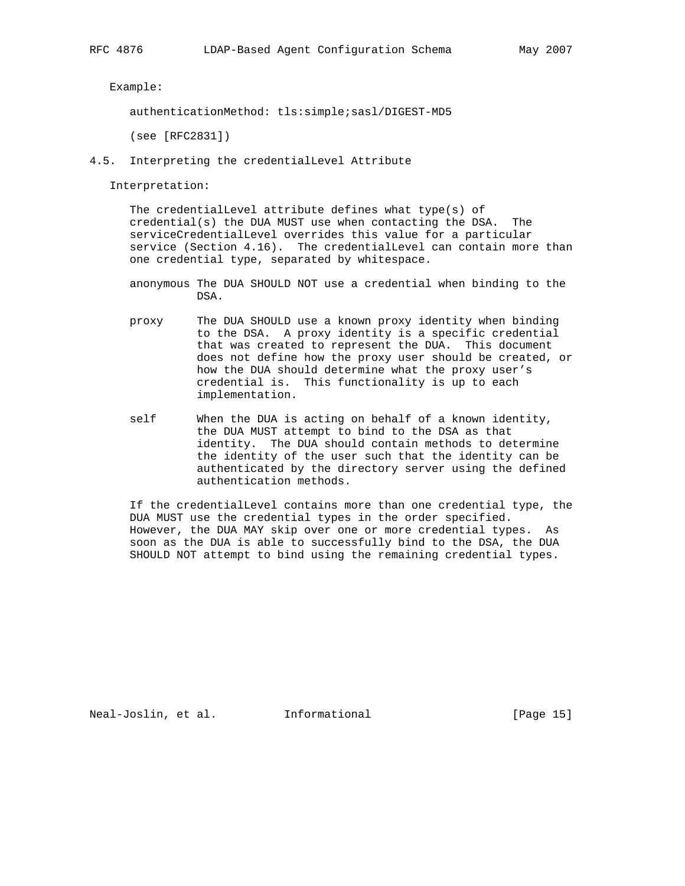Example:

authenticationMethod: tls:simple;sasl/DIGEST-MD5

(see [RFC2831])

4.5. Interpreting the credentialLevel Attribute

Interpretation:

 The credentialLevel attribute defines what type(s) of credential(s) the DUA MUST use when contacting the DSA. The serviceCredentialLevel overrides this value for a particular service (Section 4.16). The credentialLevel can contain more than one credential type, separated by whitespace.

- anonymous The DUA SHOULD NOT use a credential when binding to the DSA.
- proxy The DUA SHOULD use a known proxy identity when binding to the DSA. A proxy identity is a specific credential that was created to represent the DUA. This document does not define how the proxy user should be created, or how the DUA should determine what the proxy user's credential is. This functionality is up to each implementation.
- self When the DUA is acting on behalf of a known identity, the DUA MUST attempt to bind to the DSA as that identity. The DUA should contain methods to determine the identity of the user such that the identity can be authenticated by the directory server using the defined authentication methods.

 If the credentialLevel contains more than one credential type, the DUA MUST use the credential types in the order specified. However, the DUA MAY skip over one or more credential types. As soon as the DUA is able to successfully bind to the DSA, the DUA SHOULD NOT attempt to bind using the remaining credential types.

Neal-Joslin, et al. Informational [Page 15]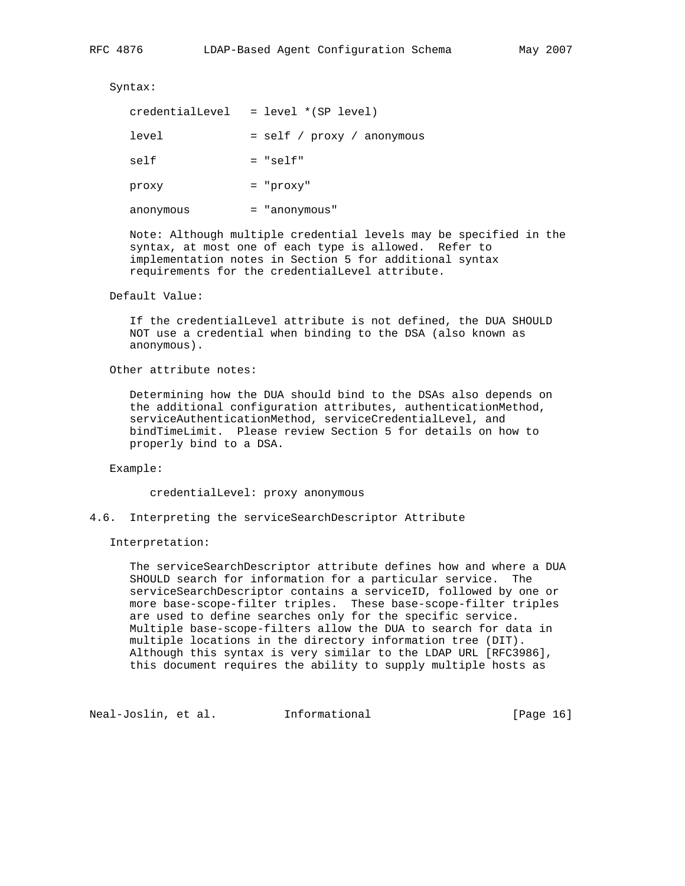Syntax:

| credentialLevel | = level *(SP level)        |
|-----------------|----------------------------|
| level           | = self / proxy / anonymous |
| self            | $= "self"$                 |
| proxy           | $=$ "proxy"                |
| anonymous       | = "anonymous"              |

 Note: Although multiple credential levels may be specified in the syntax, at most one of each type is allowed. Refer to implementation notes in Section 5 for additional syntax requirements for the credentialLevel attribute.

Default Value:

 If the credentialLevel attribute is not defined, the DUA SHOULD NOT use a credential when binding to the DSA (also known as anonymous).

Other attribute notes:

 Determining how the DUA should bind to the DSAs also depends on the additional configuration attributes, authenticationMethod, serviceAuthenticationMethod, serviceCredentialLevel, and bindTimeLimit. Please review Section 5 for details on how to properly bind to a DSA.

Example:

credentialLevel: proxy anonymous

4.6. Interpreting the serviceSearchDescriptor Attribute

Interpretation:

 The serviceSearchDescriptor attribute defines how and where a DUA SHOULD search for information for a particular service. The serviceSearchDescriptor contains a serviceID, followed by one or more base-scope-filter triples. These base-scope-filter triples are used to define searches only for the specific service. Multiple base-scope-filters allow the DUA to search for data in multiple locations in the directory information tree (DIT). Although this syntax is very similar to the LDAP URL [RFC3986], this document requires the ability to supply multiple hosts as

Neal-Joslin, et al. Informational [Page 16]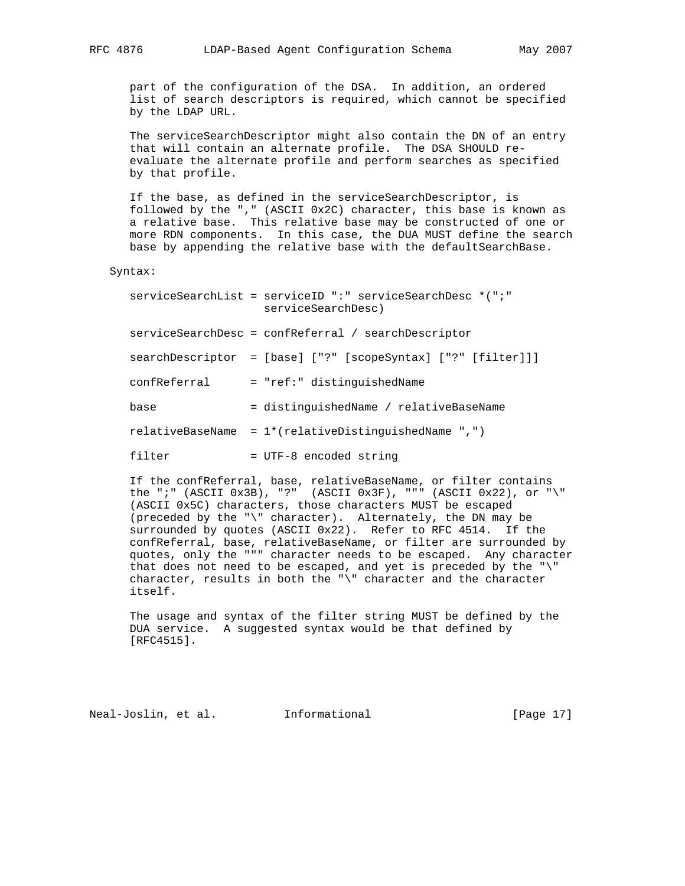part of the configuration of the DSA. In addition, an ordered list of search descriptors is required, which cannot be specified by the LDAP URL.

 The serviceSearchDescriptor might also contain the DN of an entry that will contain an alternate profile. The DSA SHOULD re evaluate the alternate profile and perform searches as specified by that profile.

 If the base, as defined in the serviceSearchDescriptor, is followed by the "," (ASCII 0x2C) character, this base is known as a relative base. This relative base may be constructed of one or more RDN components. In this case, the DUA MUST define the search base by appending the relative base with the defaultSearchBase.

Syntax:

|              | serviceSearchList = serviceID ":" serviceSearchDesc *(";"<br>serviceSearchDesc) |
|--------------|---------------------------------------------------------------------------------|
|              | serviceSearchDesc = confReferral / searchDescriptor                             |
|              | searchDescriptor = [base] ["?" [scopeSyntax] ["?" [filter]]]                    |
| confReferral | = "ref:" distinguishedName                                                      |
| base         | = distinguishedName / relativeBaseName                                          |
|              | $relativeBaseName = 1*(relativeDistinguishedName ",")$                          |
| filter       | = UTF-8 encoded string                                                          |

 If the confReferral, base, relativeBaseName, or filter contains the ";" (ASCII 0x3B), "?" (ASCII 0x3F), """ (ASCII 0x22), or "\" (ASCII 0x5C) characters, those characters MUST be escaped (preceded by the "\" character). Alternately, the DN may be surrounded by quotes (ASCII 0x22). Refer to RFC 4514. If the confReferral, base, relativeBaseName, or filter are surrounded by quotes, only the """ character needs to be escaped. Any character that does not need to be escaped, and yet is preceded by the "\" character, results in both the "\" character and the character itself.

 The usage and syntax of the filter string MUST be defined by the DUA service. A suggested syntax would be that defined by [RFC4515].

Neal-Joslin, et al. Informational [Page 17]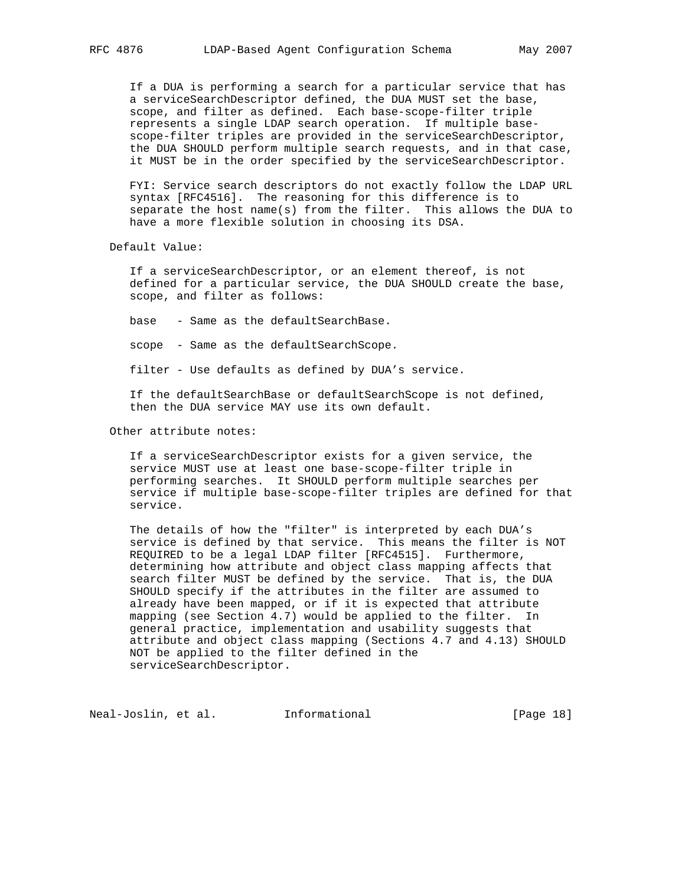If a DUA is performing a search for a particular service that has a serviceSearchDescriptor defined, the DUA MUST set the base, scope, and filter as defined. Each base-scope-filter triple represents a single LDAP search operation. If multiple base scope-filter triples are provided in the serviceSearchDescriptor, the DUA SHOULD perform multiple search requests, and in that case, it MUST be in the order specified by the serviceSearchDescriptor.

 FYI: Service search descriptors do not exactly follow the LDAP URL syntax [RFC4516]. The reasoning for this difference is to separate the host name(s) from the filter. This allows the DUA to have a more flexible solution in choosing its DSA.

Default Value:

 If a serviceSearchDescriptor, or an element thereof, is not defined for a particular service, the DUA SHOULD create the base, scope, and filter as follows:

base - Same as the defaultSearchBase.

scope - Same as the defaultSearchScope.

filter - Use defaults as defined by DUA's service.

 If the defaultSearchBase or defaultSearchScope is not defined, then the DUA service MAY use its own default.

Other attribute notes:

 If a serviceSearchDescriptor exists for a given service, the service MUST use at least one base-scope-filter triple in performing searches. It SHOULD perform multiple searches per service if multiple base-scope-filter triples are defined for that service.

 The details of how the "filter" is interpreted by each DUA's service is defined by that service. This means the filter is NOT REQUIRED to be a legal LDAP filter [RFC4515]. Furthermore, determining how attribute and object class mapping affects that search filter MUST be defined by the service. That is, the DUA SHOULD specify if the attributes in the filter are assumed to already have been mapped, or if it is expected that attribute mapping (see Section 4.7) would be applied to the filter. In general practice, implementation and usability suggests that attribute and object class mapping (Sections 4.7 and 4.13) SHOULD NOT be applied to the filter defined in the serviceSearchDescriptor.

Neal-Joslin, et al. 1nformational 1999 [Page 18]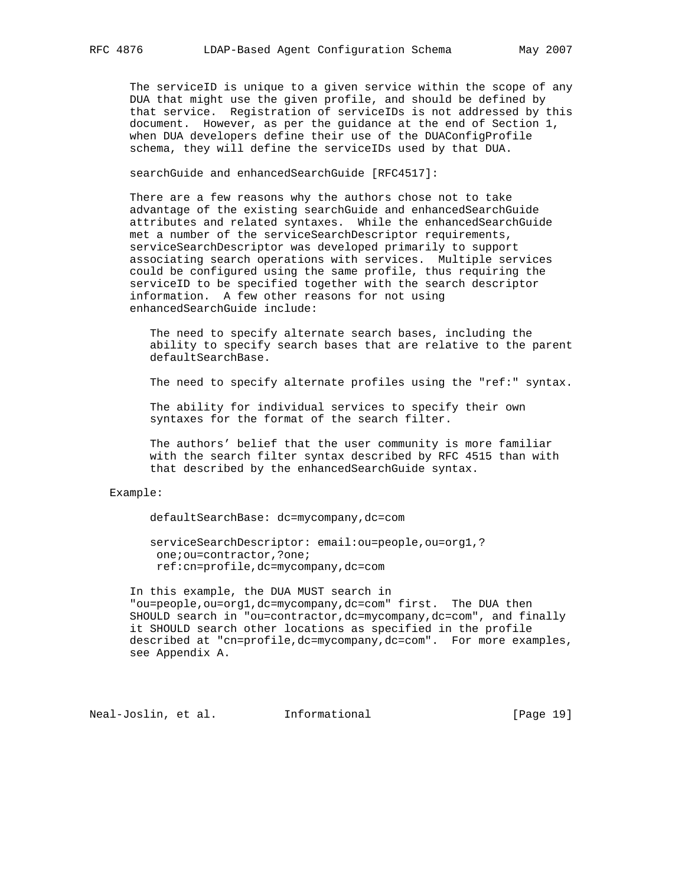The serviceID is unique to a given service within the scope of any DUA that might use the given profile, and should be defined by that service. Registration of serviceIDs is not addressed by this document. However, as per the guidance at the end of Section 1, when DUA developers define their use of the DUAConfigProfile schema, they will define the serviceIDs used by that DUA.

searchGuide and enhancedSearchGuide [RFC4517]:

 There are a few reasons why the authors chose not to take advantage of the existing searchGuide and enhancedSearchGuide attributes and related syntaxes. While the enhancedSearchGuide met a number of the serviceSearchDescriptor requirements, serviceSearchDescriptor was developed primarily to support associating search operations with services. Multiple services could be configured using the same profile, thus requiring the serviceID to be specified together with the search descriptor information. A few other reasons for not using enhancedSearchGuide include:

 The need to specify alternate search bases, including the ability to specify search bases that are relative to the parent defaultSearchBase.

The need to specify alternate profiles using the "ref:" syntax.

 The ability for individual services to specify their own syntaxes for the format of the search filter.

 The authors' belief that the user community is more familiar with the search filter syntax described by RFC 4515 than with that described by the enhancedSearchGuide syntax.

#### Example:

defaultSearchBase: dc=mycompany,dc=com

 serviceSearchDescriptor: email:ou=people,ou=org1,? one;ou=contractor,?one; ref:cn=profile,dc=mycompany,dc=com

 In this example, the DUA MUST search in "ou=people,ou=org1,dc=mycompany,dc=com" first. The DUA then SHOULD search in "ou=contractor,dc=mycompany,dc=com", and finally it SHOULD search other locations as specified in the profile described at "cn=profile,dc=mycompany,dc=com". For more examples, see Appendix A.

Neal-Joslin, et al. Informational [Page 19]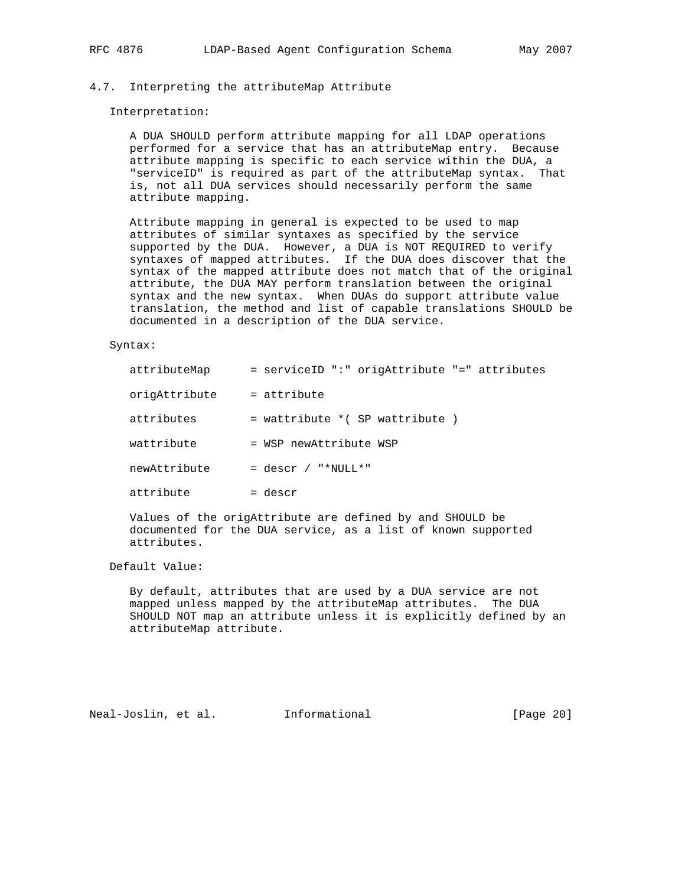# 4.7. Interpreting the attributeMap Attribute

#### Interpretation:

 A DUA SHOULD perform attribute mapping for all LDAP operations performed for a service that has an attributeMap entry. Because attribute mapping is specific to each service within the DUA, a "serviceID" is required as part of the attributeMap syntax. That is, not all DUA services should necessarily perform the same attribute mapping.

 Attribute mapping in general is expected to be used to map attributes of similar syntaxes as specified by the service supported by the DUA. However, a DUA is NOT REQUIRED to verify syntaxes of mapped attributes. If the DUA does discover that the syntax of the mapped attribute does not match that of the original attribute, the DUA MAY perform translation between the original syntax and the new syntax. When DUAs do support attribute value translation, the method and list of capable translations SHOULD be documented in a description of the DUA service.

# Syntax:

| attributeMap  | = serviceID ":" origAttribute "=" attributes |
|---------------|----------------------------------------------|
| origAttribute | $=$ attribute                                |
| attributes    | = wattribute * ( SP wattribute )             |
| wattribute    | = WSP newAttribute WSP                       |
| newAttribute  | $=$ descr / "*NULL*"                         |
| attribute     | = descr                                      |
|               |                                              |

 Values of the origAttribute are defined by and SHOULD be documented for the DUA service, as a list of known supported attributes.

# Default Value:

 By default, attributes that are used by a DUA service are not mapped unless mapped by the attributeMap attributes. The DUA SHOULD NOT map an attribute unless it is explicitly defined by an attributeMap attribute.

Neal-Joslin, et al. Informational [Page 20]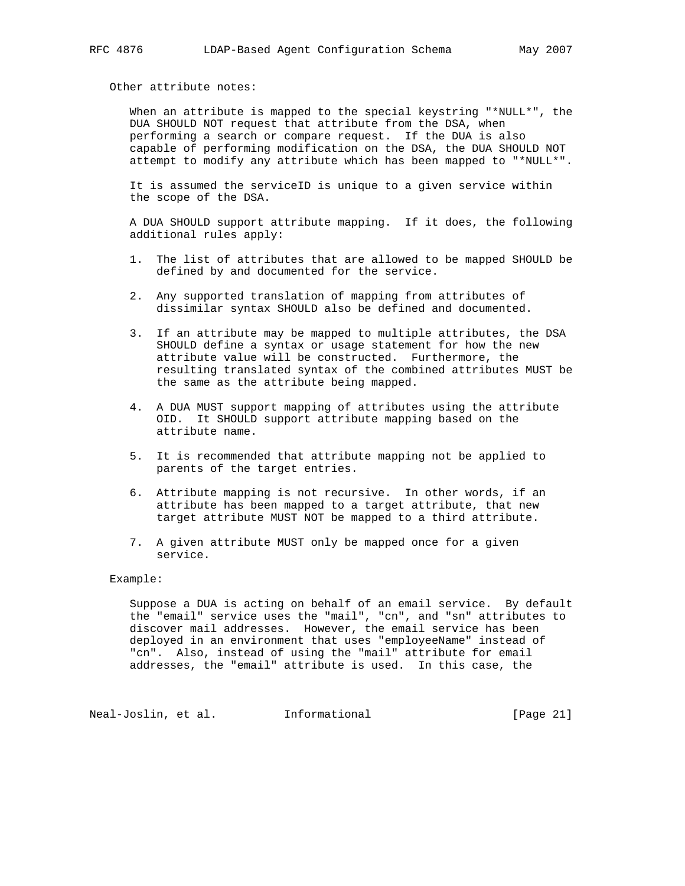Other attribute notes:

 When an attribute is mapped to the special keystring "\*NULL\*", the DUA SHOULD NOT request that attribute from the DSA, when performing a search or compare request. If the DUA is also capable of performing modification on the DSA, the DUA SHOULD NOT attempt to modify any attribute which has been mapped to "\*NULL\*".

 It is assumed the serviceID is unique to a given service within the scope of the DSA.

 A DUA SHOULD support attribute mapping. If it does, the following additional rules apply:

- 1. The list of attributes that are allowed to be mapped SHOULD be defined by and documented for the service.
- 2. Any supported translation of mapping from attributes of dissimilar syntax SHOULD also be defined and documented.
- 3. If an attribute may be mapped to multiple attributes, the DSA SHOULD define a syntax or usage statement for how the new attribute value will be constructed. Furthermore, the resulting translated syntax of the combined attributes MUST be the same as the attribute being mapped.
- 4. A DUA MUST support mapping of attributes using the attribute OID. It SHOULD support attribute mapping based on the attribute name.
- 5. It is recommended that attribute mapping not be applied to parents of the target entries.
- 6. Attribute mapping is not recursive. In other words, if an attribute has been mapped to a target attribute, that new target attribute MUST NOT be mapped to a third attribute.
- 7. A given attribute MUST only be mapped once for a given service.

# Example:

 Suppose a DUA is acting on behalf of an email service. By default the "email" service uses the "mail", "cn", and "sn" attributes to discover mail addresses. However, the email service has been deployed in an environment that uses "employeeName" instead of "cn". Also, instead of using the "mail" attribute for email addresses, the "email" attribute is used. In this case, the

Neal-Joslin, et al. 1nformational 1999 [Page 21]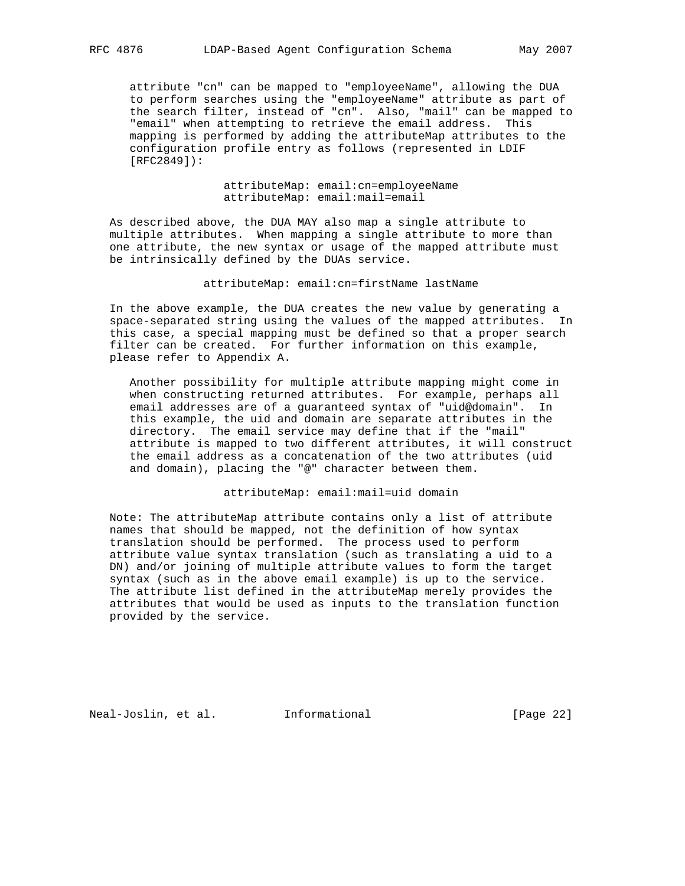attribute "cn" can be mapped to "employeeName", allowing the DUA to perform searches using the "employeeName" attribute as part of the search filter, instead of "cn". Also, "mail" can be mapped to "email" when attempting to retrieve the email address. This mapping is performed by adding the attributeMap attributes to the configuration profile entry as follows (represented in LDIF [RFC2849]):

> attributeMap: email:cn=employeeName attributeMap: email:mail=email

 As described above, the DUA MAY also map a single attribute to multiple attributes. When mapping a single attribute to more than one attribute, the new syntax or usage of the mapped attribute must be intrinsically defined by the DUAs service.

### attributeMap: email:cn=firstName lastName

 In the above example, the DUA creates the new value by generating a space-separated string using the values of the mapped attributes. In this case, a special mapping must be defined so that a proper search filter can be created. For further information on this example, please refer to Appendix A.

 Another possibility for multiple attribute mapping might come in when constructing returned attributes. For example, perhaps all email addresses are of a guaranteed syntax of "uid@domain". In this example, the uid and domain are separate attributes in the directory. The email service may define that if the "mail" attribute is mapped to two different attributes, it will construct the email address as a concatenation of the two attributes (uid and domain), placing the "@" character between them.

# attributeMap: email:mail=uid domain

 Note: The attributeMap attribute contains only a list of attribute names that should be mapped, not the definition of how syntax translation should be performed. The process used to perform attribute value syntax translation (such as translating a uid to a DN) and/or joining of multiple attribute values to form the target syntax (such as in the above email example) is up to the service. The attribute list defined in the attributeMap merely provides the attributes that would be used as inputs to the translation function provided by the service.

Neal-Joslin, et al. Informational [Page 22]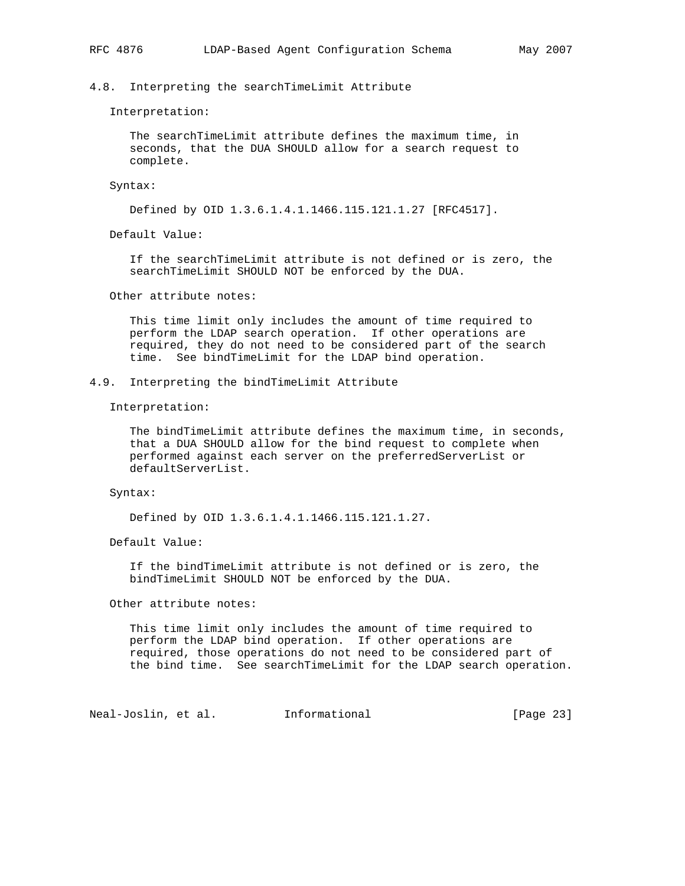# 4.8. Interpreting the searchTimeLimit Attribute

Interpretation:

 The searchTimeLimit attribute defines the maximum time, in seconds, that the DUA SHOULD allow for a search request to complete.

Syntax:

Defined by OID 1.3.6.1.4.1.1466.115.121.1.27 [RFC4517].

Default Value:

 If the searchTimeLimit attribute is not defined or is zero, the searchTimeLimit SHOULD NOT be enforced by the DUA.

Other attribute notes:

 This time limit only includes the amount of time required to perform the LDAP search operation. If other operations are required, they do not need to be considered part of the search time. See bindTimeLimit for the LDAP bind operation.

# 4.9. Interpreting the bindTimeLimit Attribute

Interpretation:

 The bindTimeLimit attribute defines the maximum time, in seconds, that a DUA SHOULD allow for the bind request to complete when performed against each server on the preferredServerList or defaultServerList.

Syntax:

Defined by OID 1.3.6.1.4.1.1466.115.121.1.27.

Default Value:

 If the bindTimeLimit attribute is not defined or is zero, the bindTimeLimit SHOULD NOT be enforced by the DUA.

Other attribute notes:

 This time limit only includes the amount of time required to perform the LDAP bind operation. If other operations are required, those operations do not need to be considered part of the bind time. See searchTimeLimit for the LDAP search operation.

Neal-Joslin, et al. Informational [Page 23]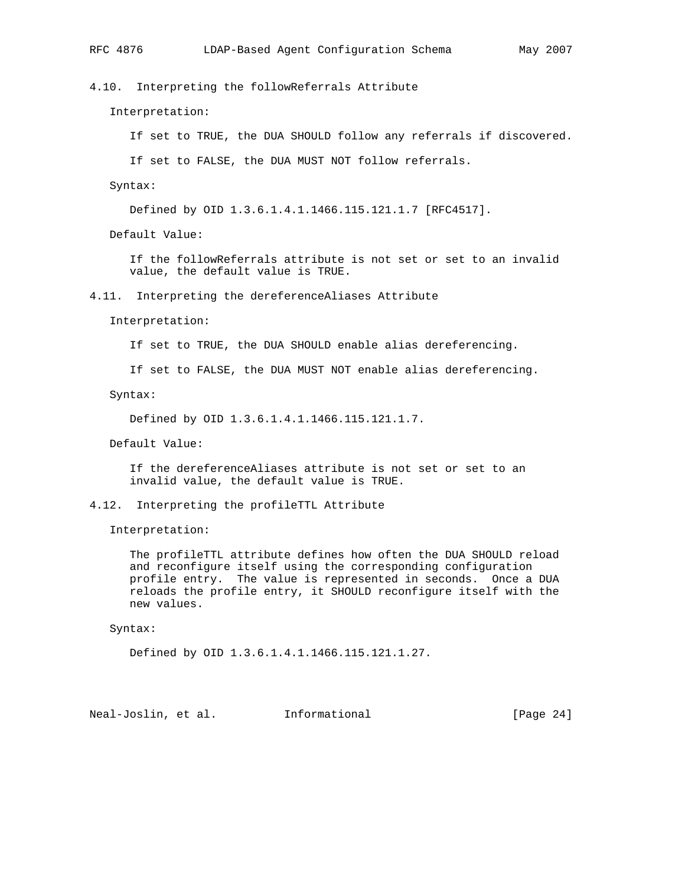4.10. Interpreting the followReferrals Attribute

Interpretation:

If set to TRUE, the DUA SHOULD follow any referrals if discovered.

If set to FALSE, the DUA MUST NOT follow referrals.

Syntax:

Defined by OID 1.3.6.1.4.1.1466.115.121.1.7 [RFC4517].

Default Value:

 If the followReferrals attribute is not set or set to an invalid value, the default value is TRUE.

4.11. Interpreting the dereferenceAliases Attribute

Interpretation:

If set to TRUE, the DUA SHOULD enable alias dereferencing.

If set to FALSE, the DUA MUST NOT enable alias dereferencing.

Syntax:

Defined by OID 1.3.6.1.4.1.1466.115.121.1.7.

Default Value:

 If the dereferenceAliases attribute is not set or set to an invalid value, the default value is TRUE.

4.12. Interpreting the profileTTL Attribute

Interpretation:

 The profileTTL attribute defines how often the DUA SHOULD reload and reconfigure itself using the corresponding configuration profile entry. The value is represented in seconds. Once a DUA reloads the profile entry, it SHOULD reconfigure itself with the new values.

Syntax:

Defined by OID 1.3.6.1.4.1.1466.115.121.1.27.

Neal-Joslin, et al. Informational [Page 24]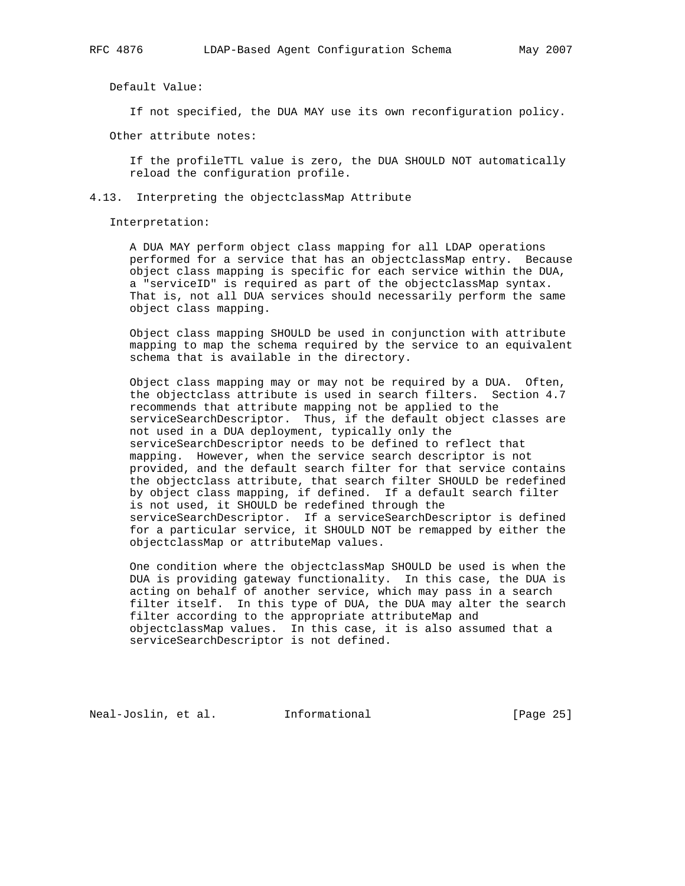Default Value:

If not specified, the DUA MAY use its own reconfiguration policy.

Other attribute notes:

 If the profileTTL value is zero, the DUA SHOULD NOT automatically reload the configuration profile.

# 4.13. Interpreting the objectclassMap Attribute

Interpretation:

 A DUA MAY perform object class mapping for all LDAP operations performed for a service that has an objectclassMap entry. Because object class mapping is specific for each service within the DUA, a "serviceID" is required as part of the objectclassMap syntax. That is, not all DUA services should necessarily perform the same object class mapping.

 Object class mapping SHOULD be used in conjunction with attribute mapping to map the schema required by the service to an equivalent schema that is available in the directory.

 Object class mapping may or may not be required by a DUA. Often, the objectclass attribute is used in search filters. Section 4.7 recommends that attribute mapping not be applied to the serviceSearchDescriptor. Thus, if the default object classes are not used in a DUA deployment, typically only the serviceSearchDescriptor needs to be defined to reflect that mapping. However, when the service search descriptor is not provided, and the default search filter for that service contains the objectclass attribute, that search filter SHOULD be redefined by object class mapping, if defined. If a default search filter is not used, it SHOULD be redefined through the serviceSearchDescriptor. If a serviceSearchDescriptor is defined for a particular service, it SHOULD NOT be remapped by either the objectclassMap or attributeMap values.

 One condition where the objectclassMap SHOULD be used is when the DUA is providing gateway functionality. In this case, the DUA is acting on behalf of another service, which may pass in a search filter itself. In this type of DUA, the DUA may alter the search filter according to the appropriate attributeMap and objectclassMap values. In this case, it is also assumed that a serviceSearchDescriptor is not defined.

Neal-Joslin, et al. Informational [Page 25]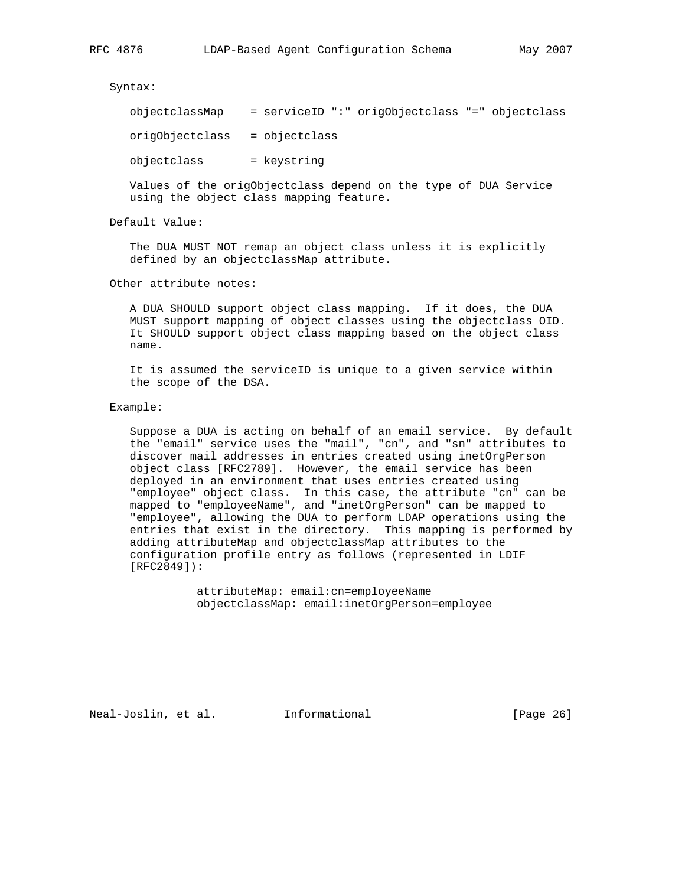Syntax:

| objectclassMap  | = serviceID ":" origObjectclass "=" objectclass |  |  |  |
|-----------------|-------------------------------------------------|--|--|--|
| origObjectclass | = objectclass                                   |  |  |  |
| objectclass     | = keystring                                     |  |  |  |

 Values of the origObjectclass depend on the type of DUA Service using the object class mapping feature.

Default Value:

 The DUA MUST NOT remap an object class unless it is explicitly defined by an objectclassMap attribute.

Other attribute notes:

 A DUA SHOULD support object class mapping. If it does, the DUA MUST support mapping of object classes using the objectclass OID. It SHOULD support object class mapping based on the object class name.

 It is assumed the serviceID is unique to a given service within the scope of the DSA.

Example:

 Suppose a DUA is acting on behalf of an email service. By default the "email" service uses the "mail", "cn", and "sn" attributes to discover mail addresses in entries created using inetOrgPerson object class [RFC2789]. However, the email service has been deployed in an environment that uses entries created using "employee" object class. In this case, the attribute "cn" can be mapped to "employeeName", and "inetOrgPerson" can be mapped to "employee", allowing the DUA to perform LDAP operations using the entries that exist in the directory. This mapping is performed by adding attributeMap and objectclassMap attributes to the configuration profile entry as follows (represented in LDIF [RFC2849]):

> attributeMap: email:cn=employeeName objectclassMap: email:inetOrgPerson=employee

Neal-Joslin, et al. Informational [Page 26]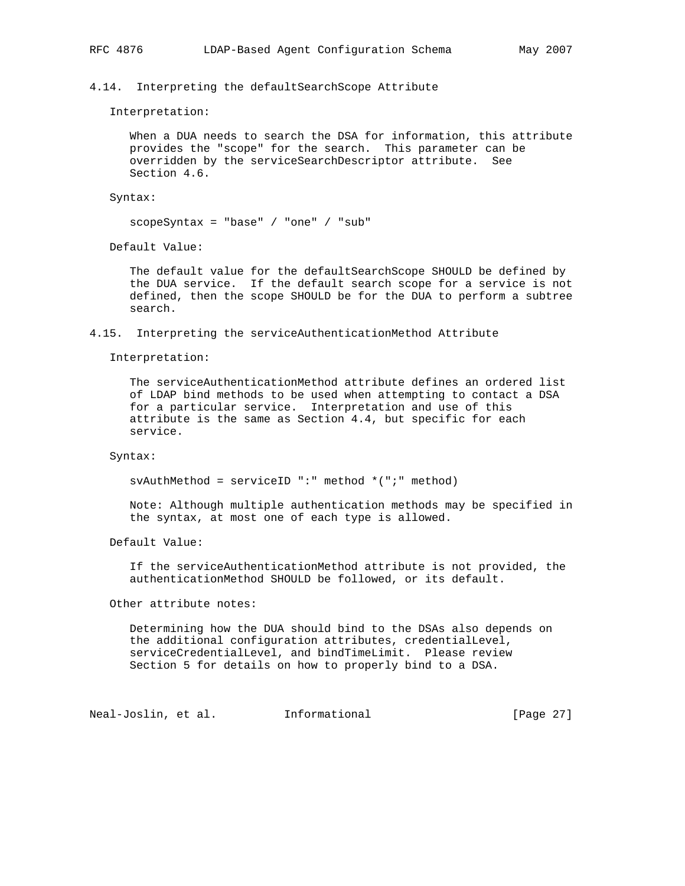## 4.14. Interpreting the defaultSearchScope Attribute

Interpretation:

 When a DUA needs to search the DSA for information, this attribute provides the "scope" for the search. This parameter can be overridden by the serviceSearchDescriptor attribute. See Section 4.6.

Syntax:

scopeSyntax = "base" / "one" / "sub"

Default Value:

 The default value for the defaultSearchScope SHOULD be defined by the DUA service. If the default search scope for a service is not defined, then the scope SHOULD be for the DUA to perform a subtree search.

4.15. Interpreting the serviceAuthenticationMethod Attribute

Interpretation:

 The serviceAuthenticationMethod attribute defines an ordered list of LDAP bind methods to be used when attempting to contact a DSA for a particular service. Interpretation and use of this attribute is the same as Section 4.4, but specific for each service.

Syntax:

svAuthMethod = serviceID ":" method \*(";" method)

 Note: Although multiple authentication methods may be specified in the syntax, at most one of each type is allowed.

Default Value:

 If the serviceAuthenticationMethod attribute is not provided, the authenticationMethod SHOULD be followed, or its default.

Other attribute notes:

 Determining how the DUA should bind to the DSAs also depends on the additional configuration attributes, credentialLevel, serviceCredentialLevel, and bindTimeLimit. Please review Section 5 for details on how to properly bind to a DSA.

Neal-Joslin, et al. Informational [Page 27]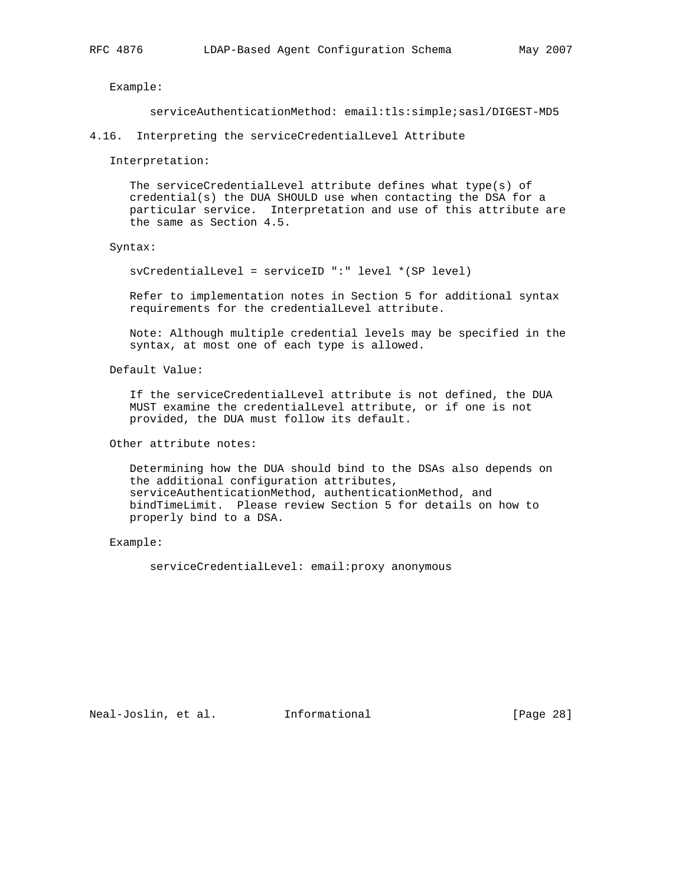Example:

serviceAuthenticationMethod: email:tls:simple;sasl/DIGEST-MD5

4.16. Interpreting the serviceCredentialLevel Attribute

Interpretation:

 The serviceCredentialLevel attribute defines what type(s) of credential(s) the DUA SHOULD use when contacting the DSA for a particular service. Interpretation and use of this attribute are the same as Section 4.5.

#### Syntax:

svCredentialLevel = serviceID ":" level \*(SP level)

 Refer to implementation notes in Section 5 for additional syntax requirements for the credentialLevel attribute.

 Note: Although multiple credential levels may be specified in the syntax, at most one of each type is allowed.

Default Value:

 If the serviceCredentialLevel attribute is not defined, the DUA MUST examine the credentialLevel attribute, or if one is not provided, the DUA must follow its default.

Other attribute notes:

 Determining how the DUA should bind to the DSAs also depends on the additional configuration attributes, serviceAuthenticationMethod, authenticationMethod, and bindTimeLimit. Please review Section 5 for details on how to properly bind to a DSA.

Example:

serviceCredentialLevel: email:proxy anonymous

Neal-Joslin, et al. Informational [Page 28]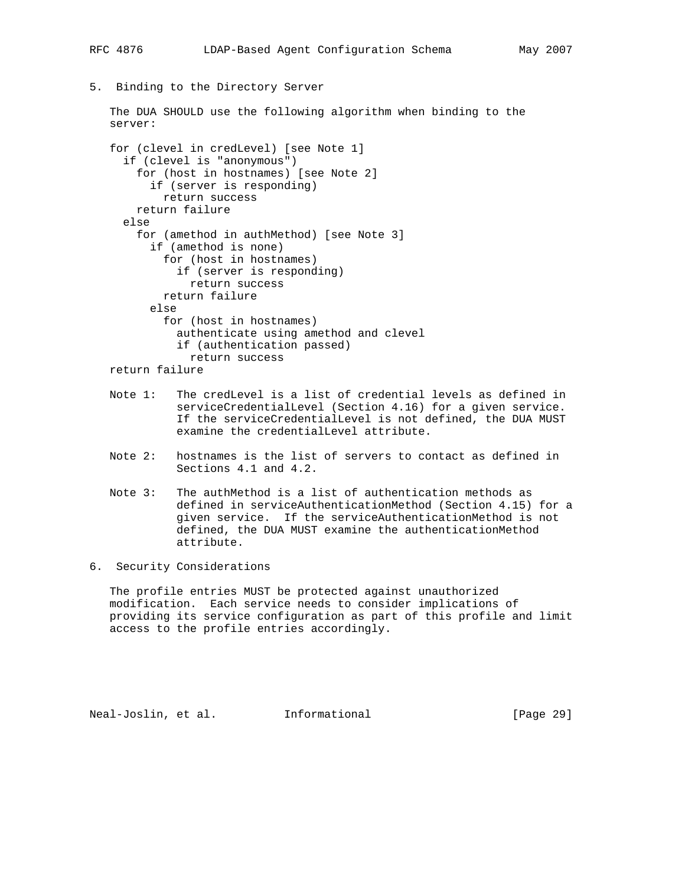5. Binding to the Directory Server

 The DUA SHOULD use the following algorithm when binding to the server:

```
 for (clevel in credLevel) [see Note 1]
  if (clevel is "anonymous")
    for (host in hostnames) [see Note 2]
       if (server is responding)
         return success
    return failure
  else
     for (amethod in authMethod) [see Note 3]
       if (amethod is none)
         for (host in hostnames)
           if (server is responding)
             return success
         return failure
       else
         for (host in hostnames)
           authenticate using amethod and clevel
           if (authentication passed)
             return success
 return failure
```
- Note 1: The credLevel is a list of credential levels as defined in serviceCredentialLevel (Section 4.16) for a given service. If the serviceCredentialLevel is not defined, the DUA MUST examine the credentialLevel attribute.
- Note 2: hostnames is the list of servers to contact as defined in Sections 4.1 and 4.2.
- Note 3: The authMethod is a list of authentication methods as defined in serviceAuthenticationMethod (Section 4.15) for a given service. If the serviceAuthenticationMethod is not defined, the DUA MUST examine the authenticationMethod attribute.
- 6. Security Considerations

 The profile entries MUST be protected against unauthorized modification. Each service needs to consider implications of providing its service configuration as part of this profile and limit access to the profile entries accordingly.

Neal-Joslin, et al. Informational [Page 29]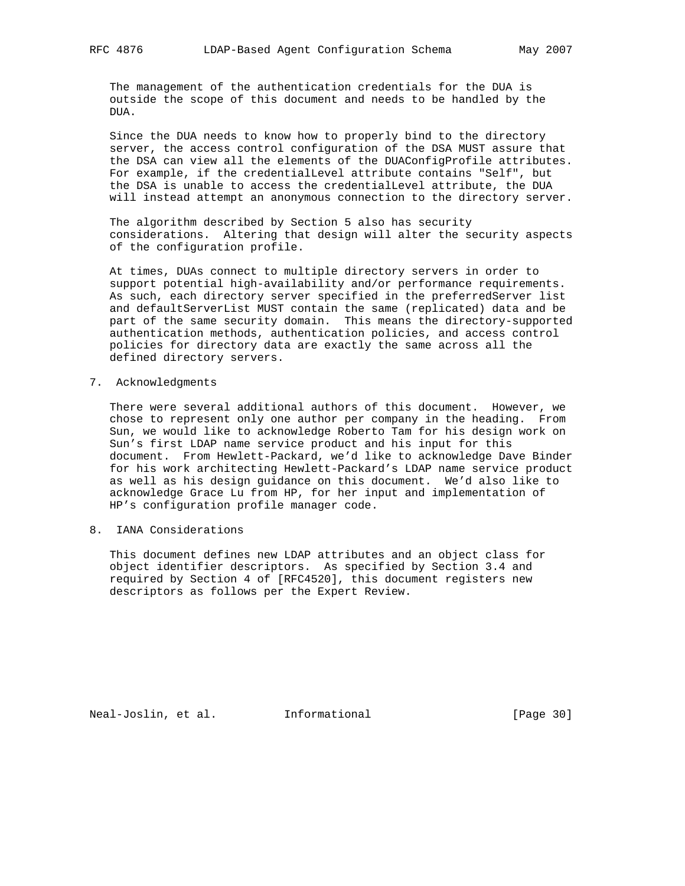The management of the authentication credentials for the DUA is outside the scope of this document and needs to be handled by the DUA.

 Since the DUA needs to know how to properly bind to the directory server, the access control configuration of the DSA MUST assure that the DSA can view all the elements of the DUAConfigProfile attributes. For example, if the credentialLevel attribute contains "Self", but the DSA is unable to access the credentialLevel attribute, the DUA will instead attempt an anonymous connection to the directory server.

 The algorithm described by Section 5 also has security considerations. Altering that design will alter the security aspects of the configuration profile.

 At times, DUAs connect to multiple directory servers in order to support potential high-availability and/or performance requirements. As such, each directory server specified in the preferredServer list and defaultServerList MUST contain the same (replicated) data and be part of the same security domain. This means the directory-supported authentication methods, authentication policies, and access control policies for directory data are exactly the same across all the defined directory servers.

7. Acknowledgments

 There were several additional authors of this document. However, we chose to represent only one author per company in the heading. From Sun, we would like to acknowledge Roberto Tam for his design work on Sun's first LDAP name service product and his input for this document. From Hewlett-Packard, we'd like to acknowledge Dave Binder for his work architecting Hewlett-Packard's LDAP name service product as well as his design guidance on this document. We'd also like to acknowledge Grace Lu from HP, for her input and implementation of HP's configuration profile manager code.

8. IANA Considerations

 This document defines new LDAP attributes and an object class for object identifier descriptors. As specified by Section 3.4 and required by Section 4 of [RFC4520], this document registers new descriptors as follows per the Expert Review.

Neal-Joslin, et al. Informational [Page 30]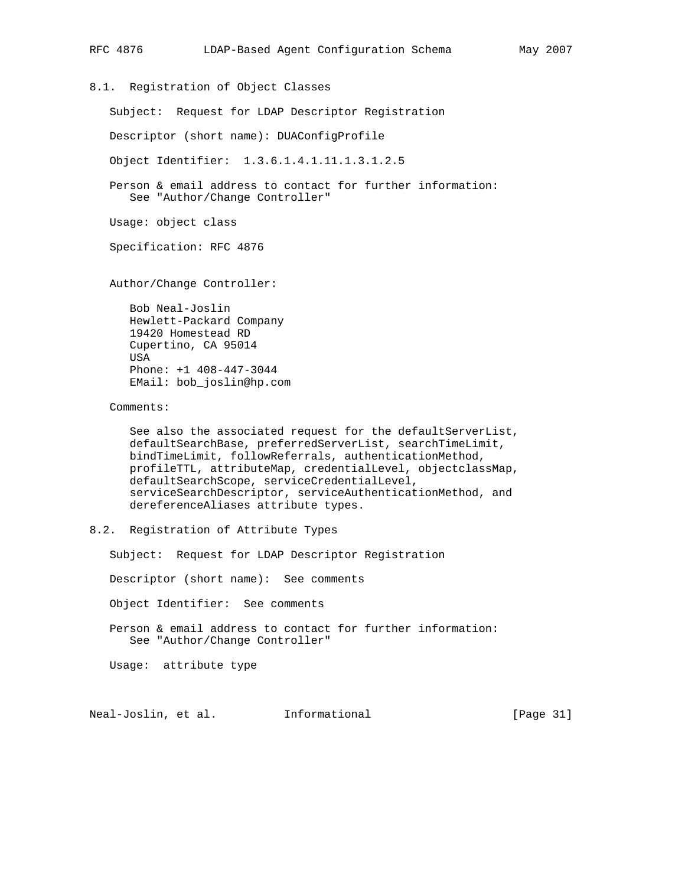```
RFC 4876 LDAP-Based Agent Configuration Schema May 2007
8.1. Registration of Object Classes
    Subject: Request for LDAP Descriptor Registration
    Descriptor (short name): DUAConfigProfile
    Object Identifier: 1.3.6.1.4.1.11.1.3.1.2.5
    Person & email address to contact for further information:
       See "Author/Change Controller"
    Usage: object class
    Specification: RFC 4876
   Author/Change Controller:
       Bob Neal-Joslin
      Hewlett-Packard Company
       19420 Homestead RD
       Cupertino, CA 95014
       USA
      Phone: +1 408-447-3044
      EMail: bob_joslin@hp.com
    Comments:
       See also the associated request for the defaultServerList,
       defaultSearchBase, preferredServerList, searchTimeLimit,
      bindTimeLimit, followReferrals, authenticationMethod,
      profileTTL, attributeMap, credentialLevel, objectclassMap,
```
 defaultSearchScope, serviceCredentialLevel, serviceSearchDescriptor, serviceAuthenticationMethod, and dereferenceAliases attribute types.

8.2. Registration of Attribute Types

Subject: Request for LDAP Descriptor Registration

Descriptor (short name): See comments

Object Identifier: See comments

 Person & email address to contact for further information: See "Author/Change Controller"

Usage: attribute type

Neal-Joslin, et al. Informational [Page 31]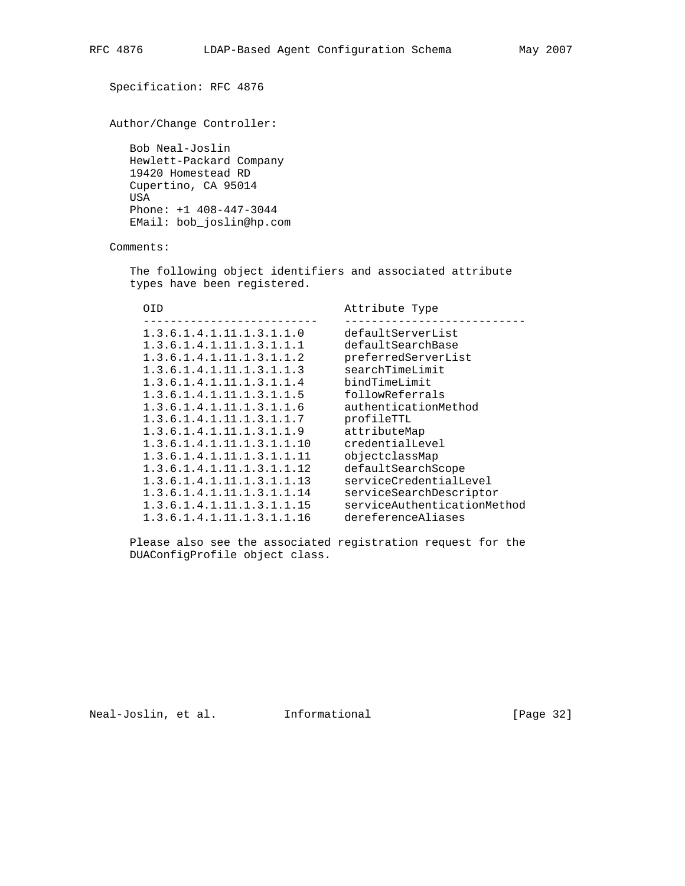```
 Specification: RFC 4876
   Author/Change Controller:
     Bob Neal-Joslin
     Hewlett-Packard Company
     19420 Homestead RD
     Cupertino, CA 95014
     USA
     Phone: +1 408-447-3044
     EMail: bob_joslin@hp.com
   Comments:
     The following object identifiers and associated attribute
     types have been registered.
      OID Attribute Type
 -------------------------- ---------------------------
 1.3.6.1.4.1.11.1.3.1.1.0 defaultServerList
 1.3.6.1.4.1.11.1.3.1.1.1 defaultSearchBase
 1.3.6.1.4.1.11.1.3.1.1.2 preferredServerList
 1.3.6.1.4.1.11.1.3.1.1.3 searchTimeLimit
 1.3.6.1.4.1.11.1.3.1.1.4 bindTimeLimit
 1.3.6.1.4.1.11.1.3.1.1.5 followReferrals
 1.3.6.1.4.1.11.1.3.1.1.6 authenticationMethod
 1.3.6.1.4.1.11.1.3.1.1.7 profileTTL
 1.3.6.1.4.1.11.1.3.1.1.9 attributeMap
 1.3.6.1.4.1.11.1.3.1.1.10 credentialLevel
 1.3.6.1.4.1.11.1.3.1.1.11 objectclassMap
 1.3.6.1.4.1.11.1.3.1.1.12 defaultSearchScope
 1.3.6.1.4.1.11.1.3.1.1.13 serviceCredentialLevel
```
 1.3.6.1.4.1.11.1.3.1.1.16 dereferenceAliases Please also see the associated registration request for the DUAConfigProfile object class.

 1.3.6.1.4.1.11.1.3.1.1.14 serviceSearchDescriptor 1.3.6.1.4.1.11.1.3.1.1.15 serviceAuthenticationMethod

Neal-Joslin, et al. Informational [Page 32]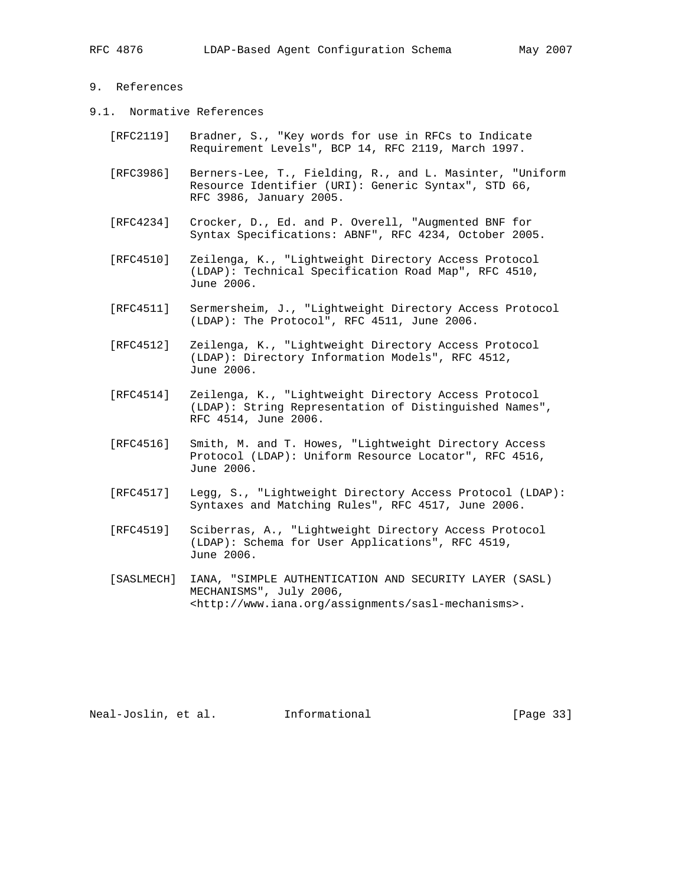# 9. References

- 9.1. Normative References
	- [RFC2119] Bradner, S., "Key words for use in RFCs to Indicate Requirement Levels", BCP 14, RFC 2119, March 1997.
	- [RFC3986] Berners-Lee, T., Fielding, R., and L. Masinter, "Uniform Resource Identifier (URI): Generic Syntax", STD 66, RFC 3986, January 2005.
	- [RFC4234] Crocker, D., Ed. and P. Overell, "Augmented BNF for Syntax Specifications: ABNF", RFC 4234, October 2005.
	- [RFC4510] Zeilenga, K., "Lightweight Directory Access Protocol (LDAP): Technical Specification Road Map", RFC 4510, June 2006.
	- [RFC4511] Sermersheim, J., "Lightweight Directory Access Protocol (LDAP): The Protocol", RFC 4511, June 2006.
	- [RFC4512] Zeilenga, K., "Lightweight Directory Access Protocol (LDAP): Directory Information Models", RFC 4512, June 2006.
	- [RFC4514] Zeilenga, K., "Lightweight Directory Access Protocol (LDAP): String Representation of Distinguished Names", RFC 4514, June 2006.
	- [RFC4516] Smith, M. and T. Howes, "Lightweight Directory Access Protocol (LDAP): Uniform Resource Locator", RFC 4516, June 2006.
	- [RFC4517] Legg, S., "Lightweight Directory Access Protocol (LDAP): Syntaxes and Matching Rules", RFC 4517, June 2006.
	- [RFC4519] Sciberras, A., "Lightweight Directory Access Protocol (LDAP): Schema for User Applications", RFC 4519, June 2006.
	- [SASLMECH] IANA, "SIMPLE AUTHENTICATION AND SECURITY LAYER (SASL) MECHANISMS", July 2006, <http://www.iana.org/assignments/sasl-mechanisms>.

Neal-Joslin, et al. Informational [Page 33]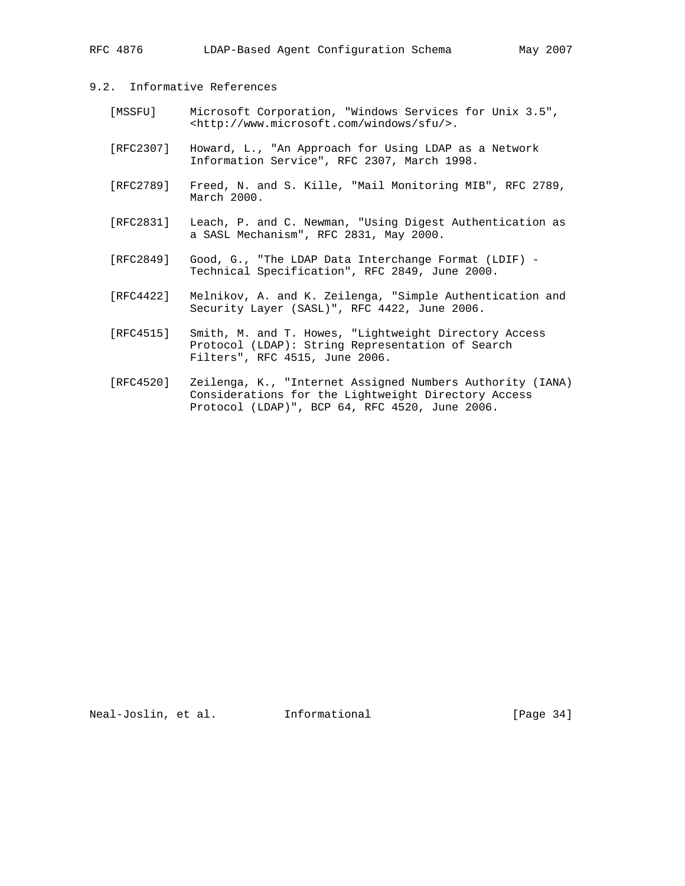# 9.2. Informative References

- [MSSFU] Microsoft Corporation, "Windows Services for Unix 3.5", <http://www.microsoft.com/windows/sfu/>.
- [RFC2307] Howard, L., "An Approach for Using LDAP as a Network Information Service", RFC 2307, March 1998.
- [RFC2789] Freed, N. and S. Kille, "Mail Monitoring MIB", RFC 2789, March 2000.
- [RFC2831] Leach, P. and C. Newman, "Using Digest Authentication as a SASL Mechanism", RFC 2831, May 2000.
- [RFC2849] Good, G., "The LDAP Data Interchange Format (LDIF) Technical Specification", RFC 2849, June 2000.
- [RFC4422] Melnikov, A. and K. Zeilenga, "Simple Authentication and Security Layer (SASL)", RFC 4422, June 2006.
- [RFC4515] Smith, M. and T. Howes, "Lightweight Directory Access Protocol (LDAP): String Representation of Search Filters", RFC 4515, June 2006.
- [RFC4520] Zeilenga, K., "Internet Assigned Numbers Authority (IANA) Considerations for the Lightweight Directory Access Protocol (LDAP)", BCP 64, RFC 4520, June 2006.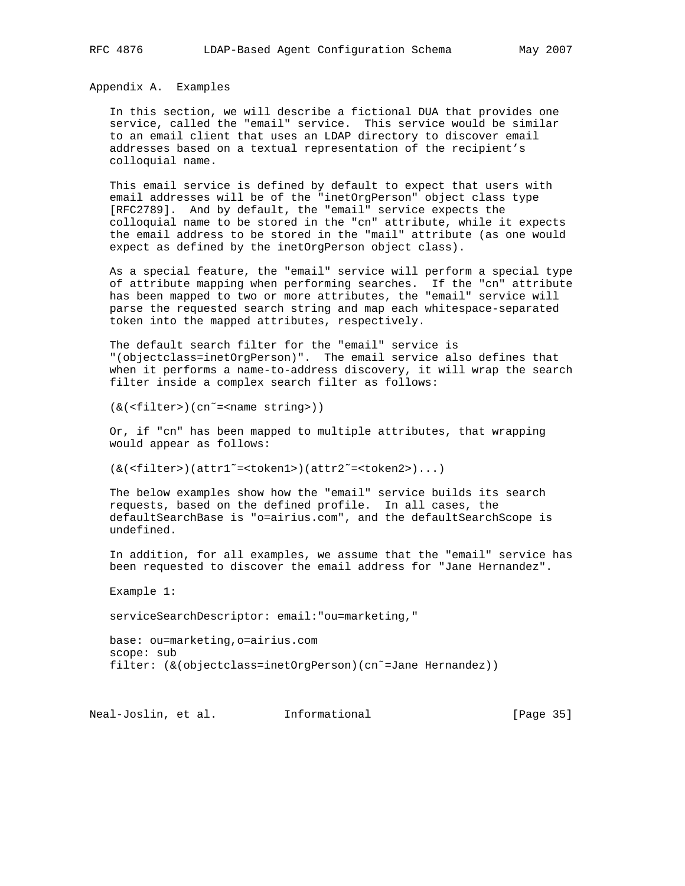Appendix A. Examples

 In this section, we will describe a fictional DUA that provides one service, called the "email" service. This service would be similar to an email client that uses an LDAP directory to discover email addresses based on a textual representation of the recipient's colloquial name.

 This email service is defined by default to expect that users with email addresses will be of the "inetOrgPerson" object class type [RFC2789]. And by default, the "email" service expects the colloquial name to be stored in the "cn" attribute, while it expects the email address to be stored in the "mail" attribute (as one would expect as defined by the inetOrgPerson object class).

 As a special feature, the "email" service will perform a special type of attribute mapping when performing searches. If the "cn" attribute has been mapped to two or more attributes, the "email" service will parse the requested search string and map each whitespace-separated token into the mapped attributes, respectively.

 The default search filter for the "email" service is "(objectclass=inetOrgPerson)". The email service also defines that when it performs a name-to-address discovery, it will wrap the search filter inside a complex search filter as follows:

(&(<filter>)(cn˜=<name string>))

 Or, if "cn" has been mapped to multiple attributes, that wrapping would appear as follows:

(&(<filter>)(attr1˜=<token1>)(attr2˜=<token2>)...)

 The below examples show how the "email" service builds its search requests, based on the defined profile. In all cases, the defaultSearchBase is "o=airius.com", and the defaultSearchScope is undefined.

 In addition, for all examples, we assume that the "email" service has been requested to discover the email address for "Jane Hernandez".

Example 1:

serviceSearchDescriptor: email:"ou=marketing,"

 base: ou=marketing,o=airius.com scope: sub filter: (&(objectclass=inetOrgPerson)(cn˜=Jane Hernandez))

Neal-Joslin, et al. Informational [Page 35]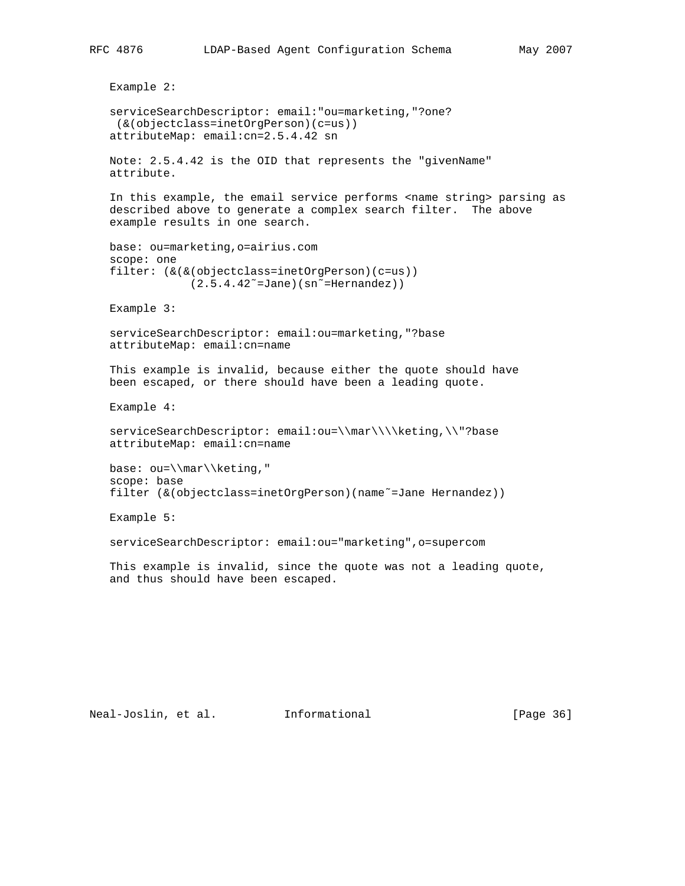```
 Example 2:
 serviceSearchDescriptor: email:"ou=marketing,"?one?
 (&(objectclass=inetOrgPerson)(c=us))
 attributeMap: email:cn=2.5.4.42 sn
 Note: 2.5.4.42 is the OID that represents the "givenName"
 attribute.
In this example, the email service performs <name string> parsing as
 described above to generate a complex search filter. The above
 example results in one search.
 base: ou=marketing,o=airius.com
 scope: one
 filter: (&(&(objectclass=inetOrgPerson)(c=us))
            (2.5.4.42<sup>0</sup> = Jane) (sn<sup>\sim</sup>=Hernandez))
 Example 3:
 serviceSearchDescriptor: email:ou=marketing,"?base
 attributeMap: email:cn=name
 This example is invalid, because either the quote should have
 been escaped, or there should have been a leading quote.
 Example 4:
 serviceSearchDescriptor: email:ou=\\mar\\\\keting,\\"?base
 attributeMap: email:cn=name
 base: ou=\\mar\\keting,"
 scope: base
 filter (&(objectclass=inetOrgPerson)(name˜=Jane Hernandez))
 Example 5:
 serviceSearchDescriptor: email:ou="marketing",o=supercom
 This example is invalid, since the quote was not a leading quote,
 and thus should have been escaped.
```
Neal-Joslin, et al. Informational [Page 36]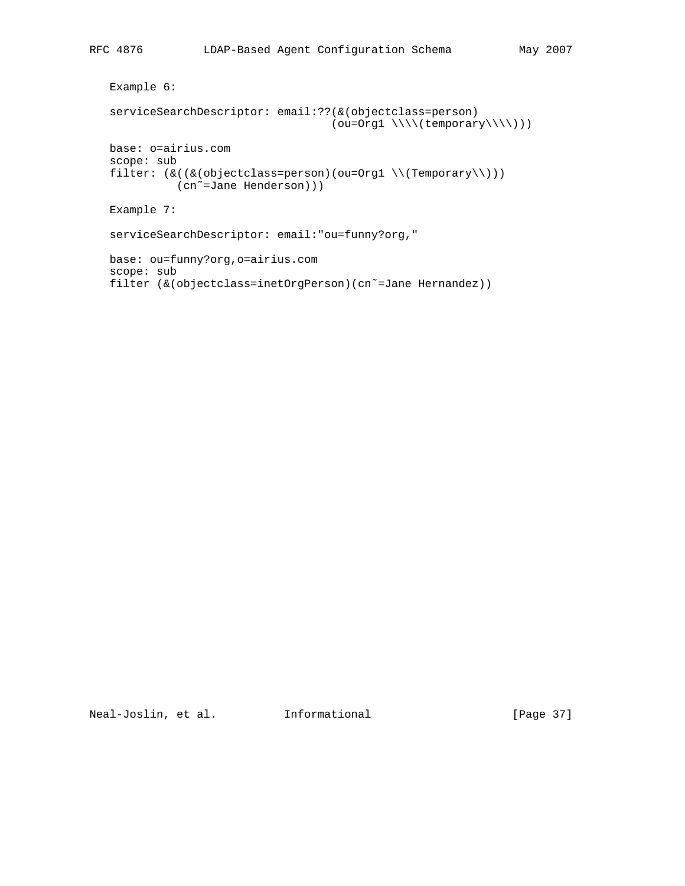```
 Example 6:
 serviceSearchDescriptor: email:??(&(objectclass=person)
                                   (ou=Org1 \ \ \\\\wedge\ (temporary \\\wedge\)) base: o=airius.com
 scope: sub
filter: (\& ((\& (objectclass=person)(ou=Org1 \ \ \ \ Temporary))) (cn˜=Jane Henderson)))
 Example 7:
 serviceSearchDescriptor: email:"ou=funny?org,"
 base: ou=funny?org,o=airius.com
 scope: sub
 filter (&(objectclass=inetOrgPerson)(cn˜=Jane Hernandez))
```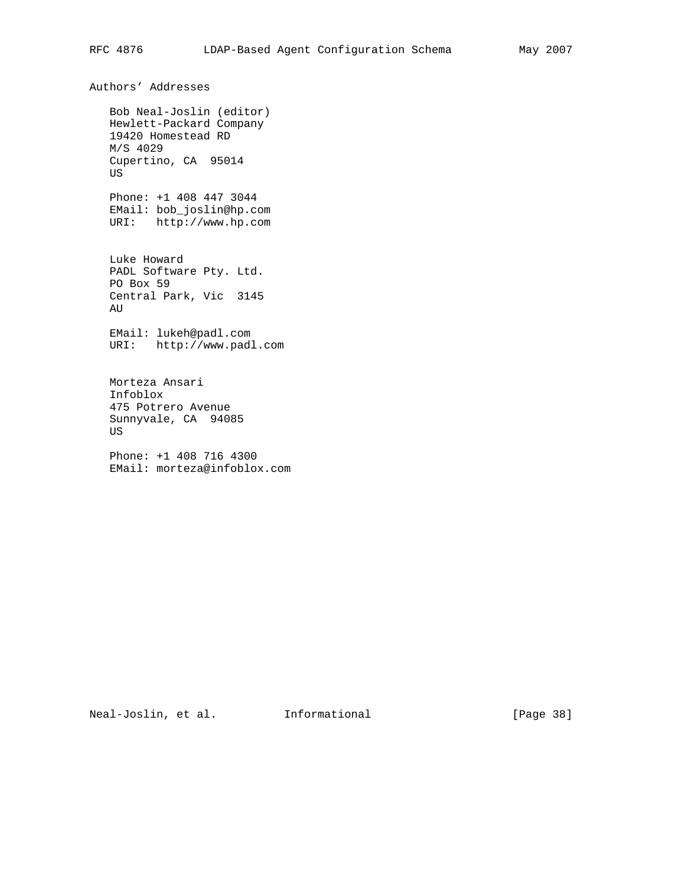Bob Neal-Joslin (editor) Hewlett-Packard Company 19420 Homestead RD M/S 4029 Cupertino, CA 95014 US Phone: +1 408 447 3044 EMail: bob\_joslin@hp.com URI: http://www.hp.com Luke Howard PADL Software Pty. Ltd. PO Box 59 Central Park, Vic 3145 AU EMail: lukeh@padl.com URI: http://www.padl.com Morteza Ansari Infoblox 475 Potrero Avenue

 US Phone: +1 408 716 4300

EMail: morteza@infoblox.com

Sunnyvale, CA 94085

Neal-Joslin, et al. 1nformational [Page 38]

Authors' Addresses